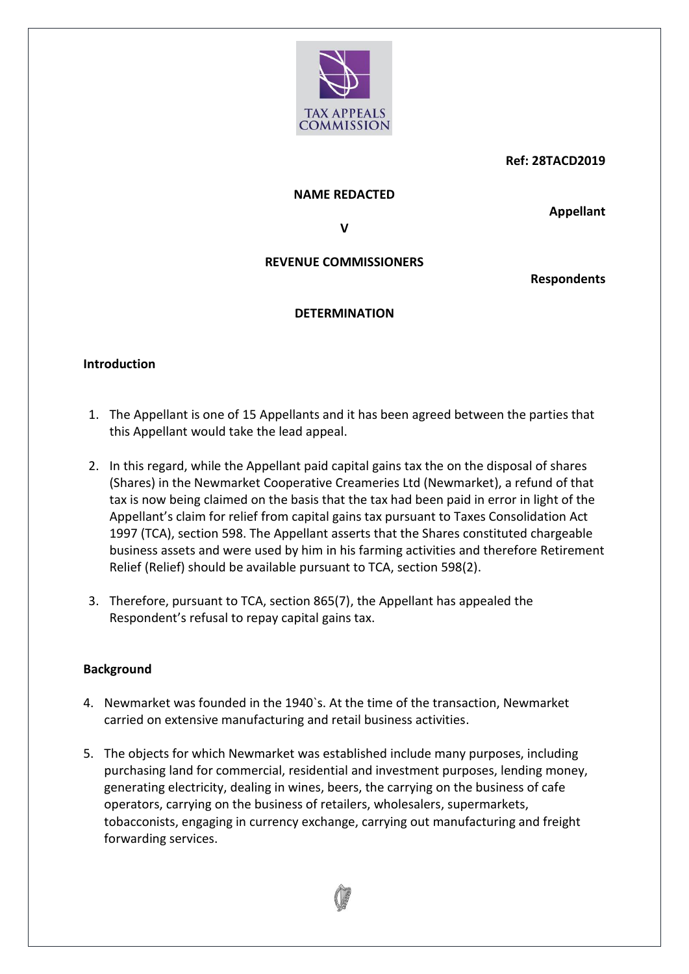

### **Ref: 28TACD2019**

#### **NAME REDACTED**

**Appellant**

**V**

## **REVENUE COMMISSIONERS**

**Respondents**

## **DETERMINATION**

## **Introduction**

- 1. The Appellant is one of 15 Appellants and it has been agreed between the parties that this Appellant would take the lead appeal.
- 2. In this regard, while the Appellant paid capital gains tax the on the disposal of shares (Shares) in the Newmarket Cooperative Creameries Ltd (Newmarket), a refund of that tax is now being claimed on the basis that the tax had been paid in error in light of the Appellant's claim for relief from capital gains tax pursuant to Taxes Consolidation Act 1997 (TCA), section 598. The Appellant asserts that the Shares constituted chargeable business assets and were used by him in his farming activities and therefore Retirement Relief (Relief) should be available pursuant to TCA, section 598(2).
- 3. Therefore, pursuant to TCA, section 865(7), the Appellant has appealed the Respondent's refusal to repay capital gains tax.

## **Background**

- 4. Newmarket was founded in the 1940`s. At the time of the transaction, Newmarket carried on extensive manufacturing and retail business activities.
- 5. The objects for which Newmarket was established include many purposes, including purchasing land for commercial, residential and investment purposes, lending money, generating electricity, dealing in wines, beers, the carrying on the business of cafe operators, carrying on the business of retailers, wholesalers, supermarkets, tobacconists, engaging in currency exchange, carrying out manufacturing and freight forwarding services.

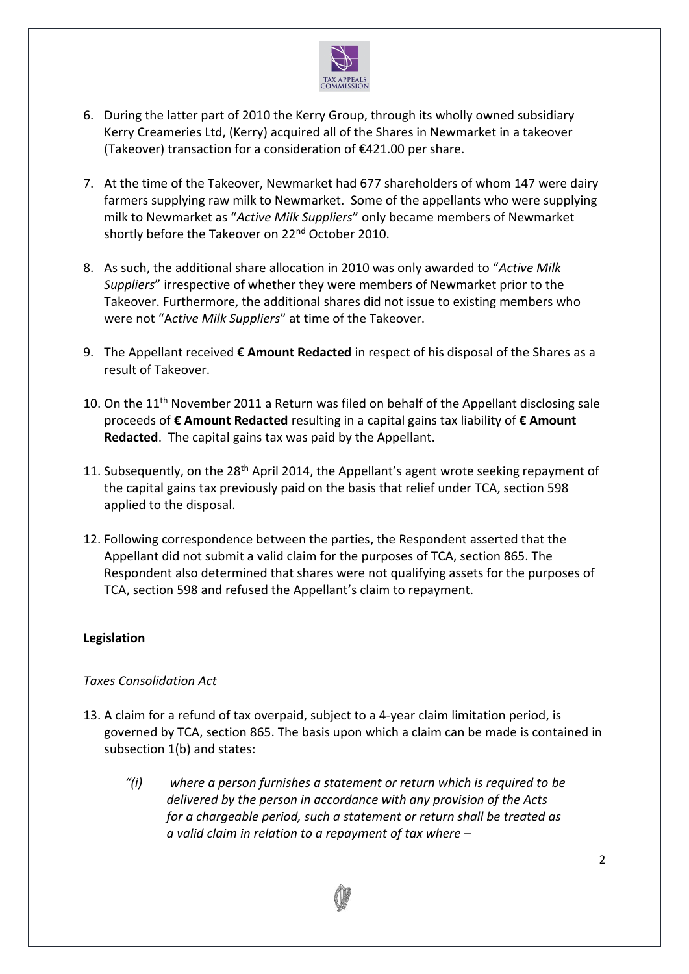

- 6. During the latter part of 2010 the Kerry Group, through its wholly owned subsidiary Kerry Creameries Ltd, (Kerry) acquired all of the Shares in Newmarket in a takeover (Takeover) transaction for a consideration of €421.00 per share.
- 7. At the time of the Takeover, Newmarket had 677 shareholders of whom 147 were dairy farmers supplying raw milk to Newmarket. Some of the appellants who were supplying milk to Newmarket as "*Active Milk Suppliers*" only became members of Newmarket shortly before the Takeover on 22<sup>nd</sup> October 2010.
- 8. As such, the additional share allocation in 2010 was only awarded to "*Active Milk Suppliers*" irrespective of whether they were members of Newmarket prior to the Takeover. Furthermore, the additional shares did not issue to existing members who were not "A*ctive Milk Suppliers*" at time of the Takeover.
- 9. The Appellant received **€ Amount Redacted** in respect of his disposal of the Shares as a result of Takeover.
- 10. On the  $11<sup>th</sup>$  November 2011 a Return was filed on behalf of the Appellant disclosing sale proceeds of **€ Amount Redacted** resulting in a capital gains tax liability of **€ Amount Redacted**. The capital gains tax was paid by the Appellant.
- 11. Subsequently, on the 28<sup>th</sup> April 2014, the Appellant's agent wrote seeking repayment of the capital gains tax previously paid on the basis that relief under TCA, section 598 applied to the disposal.
- 12. Following correspondence between the parties, the Respondent asserted that the Appellant did not submit a valid claim for the purposes of TCA, section 865. The Respondent also determined that shares were not qualifying assets for the purposes of TCA, section 598 and refused the Appellant's claim to repayment.

## **Legislation**

## *Taxes Consolidation Act*

- 13. A claim for a refund of tax overpaid, subject to a 4-year claim limitation period, is governed by TCA, section 865. The basis upon which a claim can be made is contained in subsection 1(b) and states:
	- *"(i) where a person furnishes a statement or return which is required to be delivered by the person in accordance with any provision of the Acts for a chargeable period, such a statement or return shall be treated as a valid claim in relation to a repayment of tax where –*

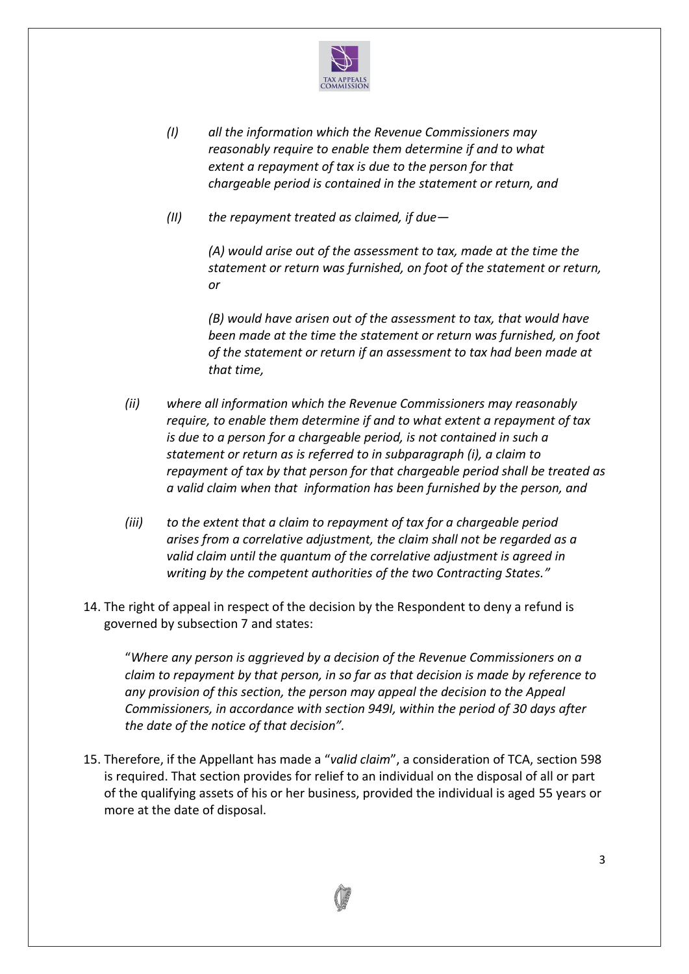

- *(I) all the information which the Revenue Commissioners may reasonably require to enable them determine if and to what extent a repayment of tax is due to the person for that chargeable period is contained in the statement or return, and*
- *(II) the repayment treated as claimed, if due—*

*(A) would arise out of the assessment to tax, made at the time the statement or return was furnished, on foot of the statement or return, or*

*(B) would have arisen out of the assessment to tax, that would have been made at the time the statement or return was furnished, on foot of the statement or return if an assessment to tax had been made at that time,* 

- *(ii) where all information which the Revenue Commissioners may reasonably require, to enable them determine if and to what extent a repayment of tax is due to a person for a chargeable period, is not contained in such a statement or return as is referred to in subparagraph (i), a claim to repayment of tax by that person for that chargeable period shall be treated as a valid claim when that information has been furnished by the person, and*
- *(iii) to the extent that a claim to repayment of tax for a chargeable period arises from a correlative adjustment, the claim shall not be regarded as a valid claim until the quantum of the correlative adjustment is agreed in writing by the competent authorities of the two Contracting States."*
- 14. The right of appeal in respect of the decision by the Respondent to deny a refund is governed by subsection 7 and states:

"*Where any person is aggrieved by a decision of the Revenue Commissioners on a claim to repayment by that person, in so far as that decision is made by reference to any provision of this section, the person may appeal the decision to the Appeal Commissioners, in accordance with section 949I, within the period of 30 days after the date of the notice of that decision".*

15. Therefore, if the Appellant has made a "*valid claim*", a consideration of TCA, section 598 is required. That section provides for relief to an individual on the disposal of all or part of the qualifying assets of his or her business, provided the individual is aged 55 years or more at the date of disposal.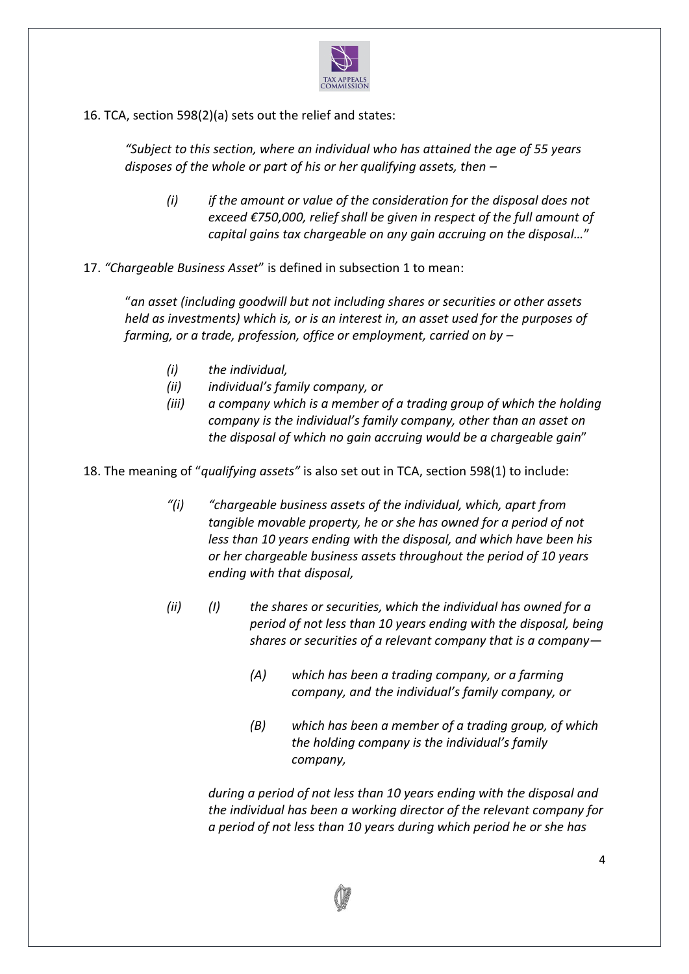

16. TCA, section 598(2)(a) sets out the relief and states:

*"Subject to this section, where an individual who has attained the age of 55 years disposes of the whole or part of his or her qualifying assets, then –*

- *(i) if the amount or value of the consideration for the disposal does not exceed €750,000, relief shall be given in respect of the full amount of capital gains tax chargeable on any gain accruing on the disposal…*"
- 17. *"Chargeable Business Asset*" is defined in subsection 1 to mean:

"*an asset (including goodwill but not including shares or securities or other assets held as investments) which is, or is an interest in, an asset used for the purposes of farming, or a trade, profession, office or employment, carried on by –*

- *(i) the individual,*
- *(ii) individual's family company, or*
- *(iii) a company which is a member of a trading group of which the holding company is the individual's family company, other than an asset on the disposal of which no gain accruing would be a chargeable gain*"

18. The meaning of "*qualifying assets"* is also set out in TCA, section 598(1) to include:

- *"(i) "chargeable business assets of the individual, which, apart from tangible movable property, he or she has owned for a period of not less than 10 years ending with the disposal, and which have been his or her chargeable business assets throughout the period of 10 years ending with that disposal,*
- *(ii) (I) the shares or securities, which the individual has owned for a period of not less than 10 years ending with the disposal, being shares or securities of a relevant company that is a company—*
	- *(A) which has been a trading company, or a farming company, and the individual's family company, or*
	- *(B) which has been a member of a trading group, of which the holding company is the individual's family company,*

*during a period of not less than 10 years ending with the disposal and the individual has been a working director of the relevant company for a period of not less than 10 years during which period he or she has* 

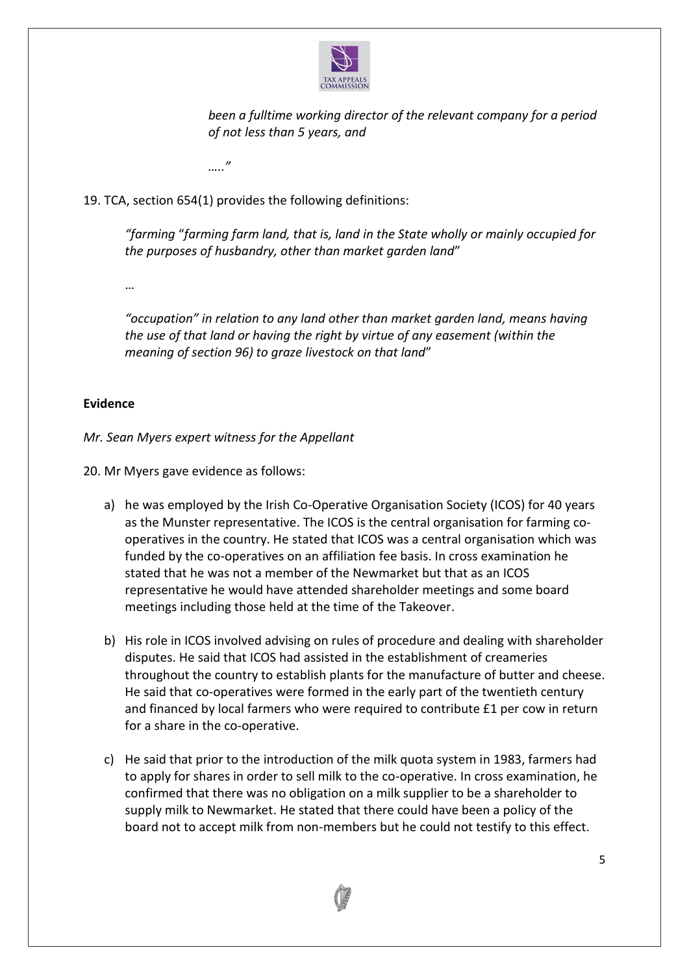

*been a fulltime working director of the relevant company for a period of not less than 5 years, and*

*….."*

19. TCA, section 654(1) provides the following definitions:

*"farming* "*farming farm land, that is, land in the State wholly or mainly occupied for the purposes of husbandry, other than market garden land*"

…

*"occupation" in relation to any land other than market garden land, means having the use of that land or having the right by virtue of any easement (within the meaning of section 96) to graze livestock on that land*"

## **Evidence**

*Mr. Sean Myers expert witness for the Appellant*

20. Mr Myers gave evidence as follows:

- a) he was employed by the Irish Co-Operative Organisation Society (ICOS) for 40 years as the Munster representative. The ICOS is the central organisation for farming cooperatives in the country. He stated that ICOS was a central organisation which was funded by the co-operatives on an affiliation fee basis. In cross examination he stated that he was not a member of the Newmarket but that as an ICOS representative he would have attended shareholder meetings and some board meetings including those held at the time of the Takeover.
- b) His role in ICOS involved advising on rules of procedure and dealing with shareholder disputes. He said that ICOS had assisted in the establishment of creameries throughout the country to establish plants for the manufacture of butter and cheese. He said that co-operatives were formed in the early part of the twentieth century and financed by local farmers who were required to contribute £1 per cow in return for a share in the co-operative.
- c) He said that prior to the introduction of the milk quota system in 1983, farmers had to apply for shares in order to sell milk to the co-operative. In cross examination, he confirmed that there was no obligation on a milk supplier to be a shareholder to supply milk to Newmarket. He stated that there could have been a policy of the board not to accept milk from non-members but he could not testify to this effect.

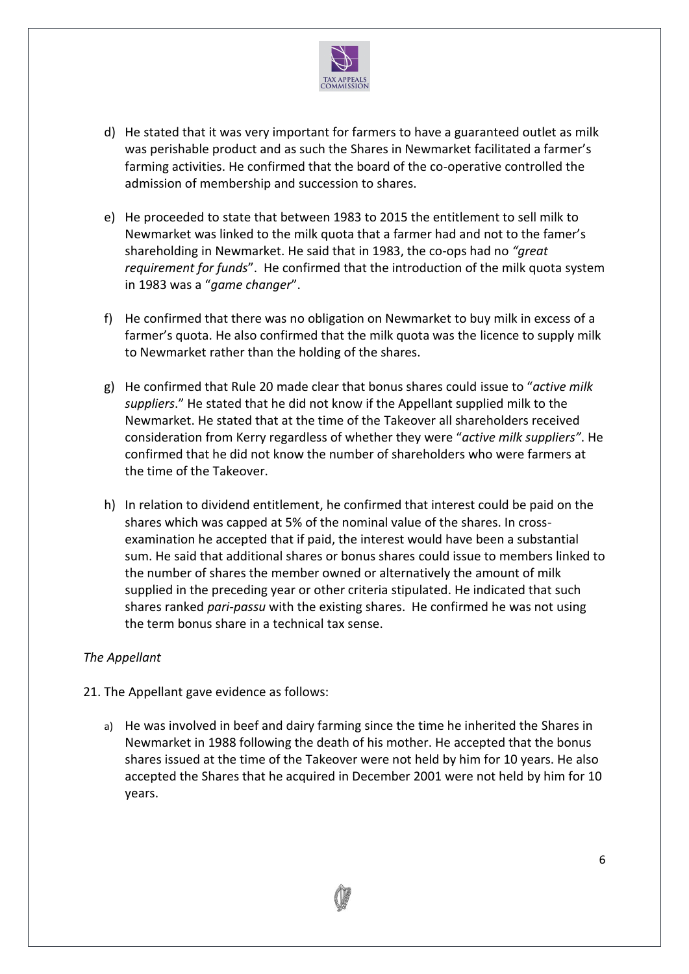

- d) He stated that it was very important for farmers to have a guaranteed outlet as milk was perishable product and as such the Shares in Newmarket facilitated a farmer's farming activities. He confirmed that the board of the co-operative controlled the admission of membership and succession to shares.
- e) He proceeded to state that between 1983 to 2015 the entitlement to sell milk to Newmarket was linked to the milk quota that a farmer had and not to the famer's shareholding in Newmarket. He said that in 1983, the co-ops had no *"great requirement for funds*". He confirmed that the introduction of the milk quota system in 1983 was a "*game changer*".
- f) He confirmed that there was no obligation on Newmarket to buy milk in excess of a farmer's quota. He also confirmed that the milk quota was the licence to supply milk to Newmarket rather than the holding of the shares.
- g) He confirmed that Rule 20 made clear that bonus shares could issue to "*active milk suppliers*." He stated that he did not know if the Appellant supplied milk to the Newmarket. He stated that at the time of the Takeover all shareholders received consideration from Kerry regardless of whether they were "*active milk suppliers"*. He confirmed that he did not know the number of shareholders who were farmers at the time of the Takeover.
- h) In relation to dividend entitlement, he confirmed that interest could be paid on the shares which was capped at 5% of the nominal value of the shares. In crossexamination he accepted that if paid, the interest would have been a substantial sum. He said that additional shares or bonus shares could issue to members linked to the number of shares the member owned or alternatively the amount of milk supplied in the preceding year or other criteria stipulated. He indicated that such shares ranked *pari-passu* with the existing shares. He confirmed he was not using the term bonus share in a technical tax sense.

## *The Appellant*

- 21. The Appellant gave evidence as follows:
	- a) He was involved in beef and dairy farming since the time he inherited the Shares in Newmarket in 1988 following the death of his mother. He accepted that the bonus shares issued at the time of the Takeover were not held by him for 10 years. He also accepted the Shares that he acquired in December 2001 were not held by him for 10 years.

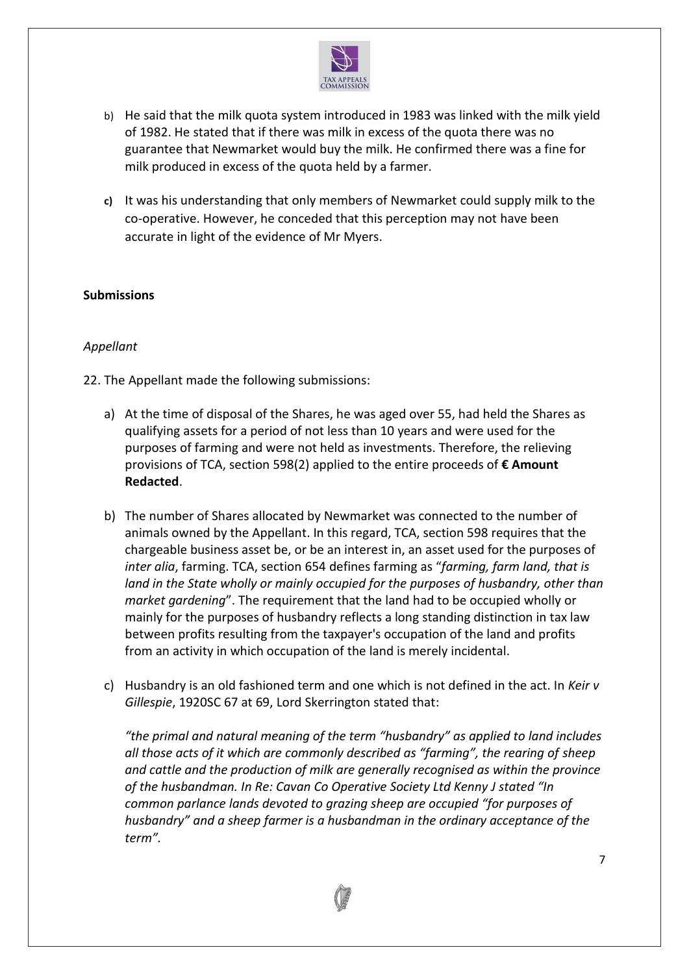

- b) He said that the milk quota system introduced in 1983 was linked with the milk yield of 1982. He stated that if there was milk in excess of the quota there was no guarantee that Newmarket would buy the milk. He confirmed there was a fine for milk produced in excess of the quota held by a farmer.
- **c)** It was his understanding that only members of Newmarket could supply milk to the co-operative. However, he conceded that this perception may not have been accurate in light of the evidence of Mr Myers.

## **Submissions**

## *Appellant*

22. The Appellant made the following submissions:

- a) At the time of disposal of the Shares, he was aged over 55, had held the Shares as qualifying assets for a period of not less than 10 years and were used for the purposes of farming and were not held as investments. Therefore, the relieving provisions of TCA, section 598(2) applied to the entire proceeds of **€ Amount Redacted**.
- b) The number of Shares allocated by Newmarket was connected to the number of animals owned by the Appellant. In this regard, TCA, section 598 requires that the chargeable business asset be, or be an interest in, an asset used for the purposes of *inter alia*, farming. TCA, section 654 defines farming as "*farming, farm land, that is land in the State wholly or mainly occupied for the purposes of husbandry, other than market gardening*". The requirement that the land had to be occupied wholly or mainly for the purposes of husbandry reflects a long standing distinction in tax law between profits resulting from the taxpayer's occupation of the land and profits from an activity in which occupation of the land is merely incidental.
- c) Husbandry is an old fashioned term and one which is not defined in the act. In *Keir v Gillespie*, 1920SC 67 at 69, Lord Skerrington stated that:

*"the primal and natural meaning of the term "husbandry" as applied to land includes all those acts of it which are commonly described as "farming", the rearing of sheep and cattle and the production of milk are generally recognised as within the province of the husbandman. In Re: Cavan Co Operative Society Ltd Kenny J stated "In common parlance lands devoted to grazing sheep are occupied "for purposes of husbandry" and a sheep farmer is a husbandman in the ordinary acceptance of the term".*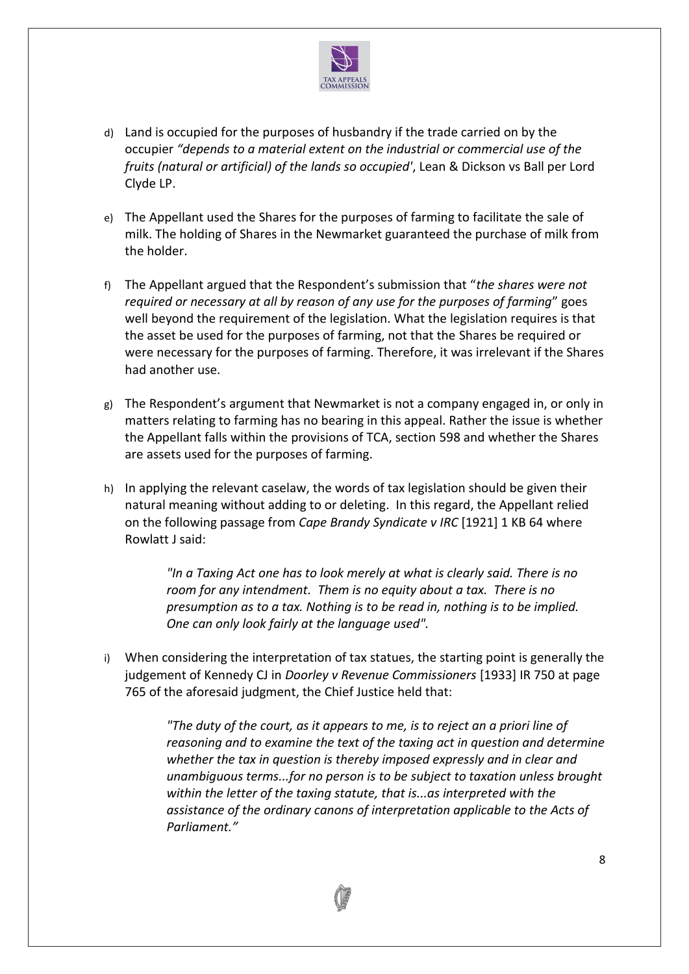

- d) Land is occupied for the purposes of husbandry if the trade carried on by the occupier *"depends to a material extent on the industrial or commercial use of the fruits (natural or artificial) of the lands so occupied'*, Lean & Dickson vs Ball per Lord Clyde LP.
- e) The Appellant used the Shares for the purposes of farming to facilitate the sale of milk. The holding of Shares in the Newmarket guaranteed the purchase of milk from the holder.
- f) The Appellant argued that the Respondent's submission that "*the shares were not required or necessary at all by reason of any use for the purposes of farming*" goes well beyond the requirement of the legislation. What the legislation requires is that the asset be used for the purposes of farming, not that the Shares be required or were necessary for the purposes of farming. Therefore, it was irrelevant if the Shares had another use.
- g) The Respondent's argument that Newmarket is not a company engaged in, or only in matters relating to farming has no bearing in this appeal. Rather the issue is whether the Appellant falls within the provisions of TCA, section 598 and whether the Shares are assets used for the purposes of farming.
- h) In applying the relevant caselaw, the words of tax legislation should be given their natural meaning without adding to or deleting. In this regard, the Appellant relied on the following passage from *Cape Brandy Syndicate v IRC* [1921] 1 KB 64 where Rowlatt J said:

*"In a Taxing Act one has to look merely at what is clearly said. There is no room for any intendment. Them is no equity about a tax. There is no presumption as to a tax. Nothing is to be read in, nothing is to be implied. One can only look fairly at the language used".* 

i) When considering the interpretation of tax statues, the starting point is generally the judgement of Kennedy CJ in *Doorley v Revenue Commissioners* [1933] IR 750 at page 765 of the aforesaid judgment, the Chief Justice held that:

> *"The duty of the court, as it appears to me, is to reject an a priori line of reasoning and to examine the text of the taxing act in question and determine whether the tax in question is thereby imposed expressly and in clear and unambiguous terms...for no person is to be subject to taxation unless brought within the letter of the taxing statute, that is...as interpreted with the assistance of the ordinary canons of interpretation applicable to the Acts of Parliament."*

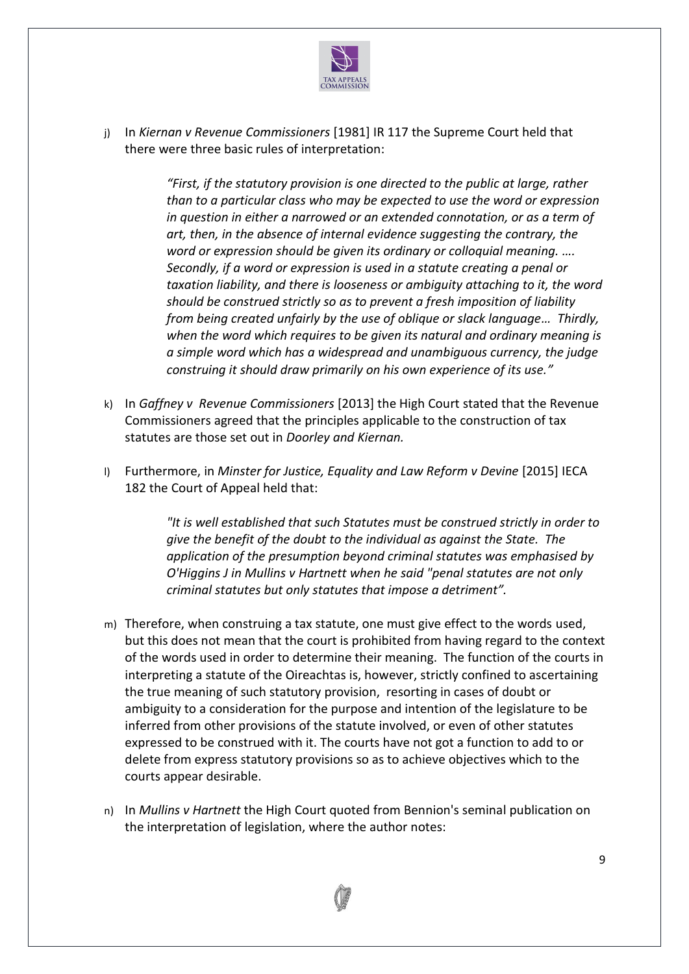

j) In *Kiernan v Revenue Commissioners* [1981] IR 117 the Supreme Court held that there were three basic rules of interpretation:

> *"First, if the statutory provision is one directed to the public at large, rather than to a particular class who may be expected to use the word or expression in question in either a narrowed or an extended connotation, or as a term of art, then, in the absence of internal evidence suggesting the contrary, the word or expression should be given its ordinary or colloquial meaning. …. Secondly, if a word or expression is used in a statute creating a penal or taxation liability, and there is looseness or ambiguity attaching to it, the word should be construed strictly so as to prevent a fresh imposition of liability from being created unfairly by the use of oblique or slack language… Thirdly, when the word which requires to be given its natural and ordinary meaning is a simple word which has a widespread and unambiguous currency, the judge construing it should draw primarily on his own experience of its use."*

- k) In *Gaffney v Revenue Commissioners* [2013] the High Court stated that the Revenue Commissioners agreed that the principles applicable to the construction of tax statutes are those set out in *Doorley and Kiernan.*
- l) Furthermore, in *Minster for Justice, Equality and Law Reform v Devine* [2015] IECA 182 the Court of Appeal held that:

*"It is well established that such Statutes must be construed strictly in order to give the benefit of the doubt to the individual as against the State. The application of the presumption beyond criminal statutes was emphasised by O'Higgins J in Mullins v Hartnett when he said "penal statutes are not only criminal statutes but only statutes that impose a detriment".*

- m) Therefore, when construing a tax statute, one must give effect to the words used, but this does not mean that the court is prohibited from having regard to the context of the words used in order to determine their meaning. The function of the courts in interpreting a statute of the Oireachtas is, however, strictly confined to ascertaining the true meaning of such statutory provision, resorting in cases of doubt or ambiguity to a consideration for the purpose and intention of the legislature to be inferred from other provisions of the statute involved, or even of other statutes expressed to be construed with it. The courts have not got a function to add to or delete from express statutory provisions so as to achieve objectives which to the courts appear desirable.
- n) In *Mullins v Hartnett* the High Court quoted from Bennion's seminal publication on the interpretation of legislation, where the author notes:

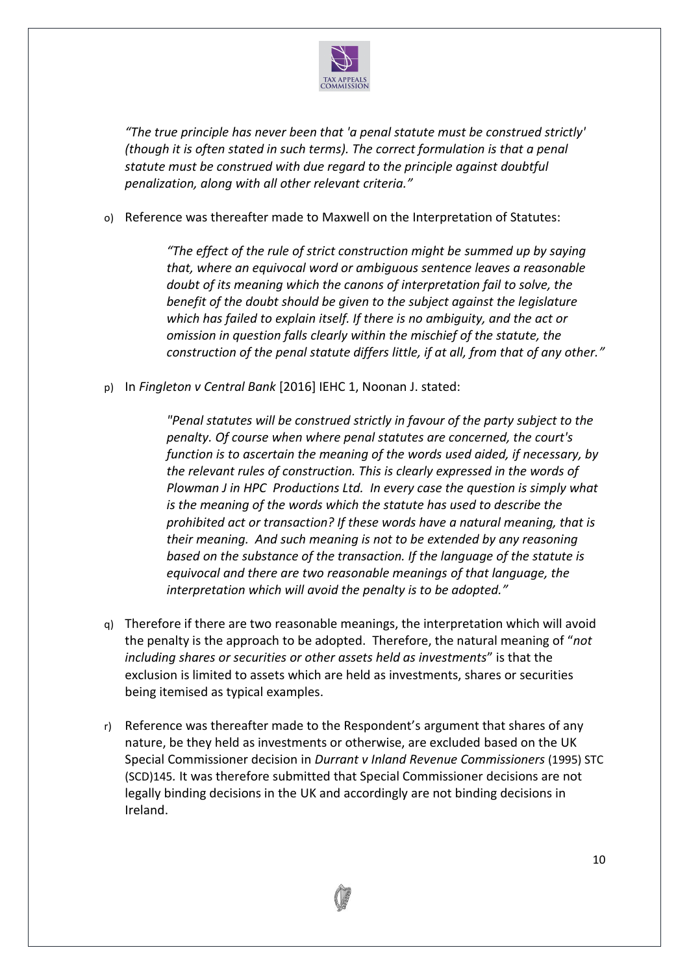

*"The true principle has never been that 'a penal statute must be construed strictly' (though it is often stated in such terms). The correct formulation is that a penal statute must be construed with due regard to the principle against doubtful penalization, along with all other relevant criteria."*

o) Reference was thereafter made to Maxwell on the Interpretation of Statutes:

*"The effect of the rule of strict construction might be summed up by saying that, where an equivocal word or ambiguous sentence leaves a reasonable doubt of its meaning which the canons of interpretation fail to solve, the benefit of the doubt should be given to the subject against the legislature which has failed to explain itself. If there is no ambiguity, and the act or omission in question falls clearly within the mischief of the statute, the construction of the penal statute differs little, if at all, from that of any other."*

p) In *Fingleton v Central Bank* [2016] IEHC 1, Noonan J. stated:

*"Penal statutes will be construed strictly in favour of the party subject to the penalty. Of course when where penal statutes are concerned, the court's function is to ascertain the meaning of the words used aided, if necessary, by the relevant rules of construction. This is clearly expressed in the words of Plowman J in HPC Productions Ltd. In every case the question is simply what is the meaning of the words which the statute has used to describe the prohibited act or transaction? If these words have a natural meaning, that is their meaning. And such meaning is not to be extended by any reasoning based on the substance of the transaction. If the language of the statute is equivocal and there are two reasonable meanings of that language, the interpretation which will avoid the penalty is to be adopted."*

- q) Therefore if there are two reasonable meanings, the interpretation which will avoid the penalty is the approach to be adopted. Therefore, the natural meaning of "*not including shares or securities or other assets held as investments*" is that the exclusion is limited to assets which are held as investments, shares or securities being itemised as typical examples.
- r) Reference was thereafter made to the Respondent's argument that shares of any nature, be they held as investments or otherwise, are excluded based on the UK Special Commissioner decision in *Durrant v Inland Revenue Commissioners* (1995) STC (SCD)145*.* It was therefore submitted that Special Commissioner decisions are not legally binding decisions in the UK and accordingly are not binding decisions in Ireland.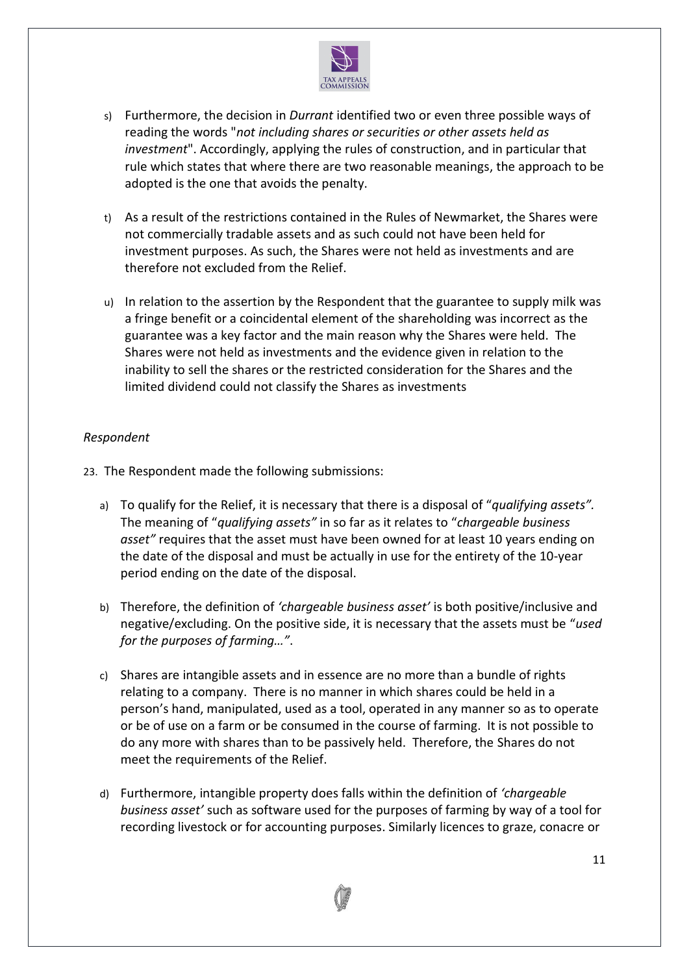

- s) Furthermore, the decision in *Durrant* identified two or even three possible ways of reading the words "*not including shares or securities or other assets held as investment*". Accordingly, applying the rules of construction, and in particular that rule which states that where there are two reasonable meanings, the approach to be adopted is the one that avoids the penalty.
- t) As a result of the restrictions contained in the Rules of Newmarket, the Shares were not commercially tradable assets and as such could not have been held for investment purposes. As such, the Shares were not held as investments and are therefore not excluded from the Relief.
- u) In relation to the assertion by the Respondent that the guarantee to supply milk was a fringe benefit or a coincidental element of the shareholding was incorrect as the guarantee was a key factor and the main reason why the Shares were held. The Shares were not held as investments and the evidence given in relation to the inability to sell the shares or the restricted consideration for the Shares and the limited dividend could not classify the Shares as investments

## *Respondent*

- 23. The Respondent made the following submissions:
	- a) To qualify for the Relief, it is necessary that there is a disposal of "*qualifying assets".* The meaning of "*qualifying assets"* in so far as it relates to "*chargeable business asset"* requires that the asset must have been owned for at least 10 years ending on the date of the disposal and must be actually in use for the entirety of the 10-year period ending on the date of the disposal.
	- b) Therefore, the definition of *'chargeable business asset'* is both positive/inclusive and negative/excluding. On the positive side, it is necessary that the assets must be "*used for the purposes of farming…"*.
	- c) Shares are intangible assets and in essence are no more than a bundle of rights relating to a company. There is no manner in which shares could be held in a person's hand, manipulated, used as a tool, operated in any manner so as to operate or be of use on a farm or be consumed in the course of farming. It is not possible to do any more with shares than to be passively held. Therefore, the Shares do not meet the requirements of the Relief.
	- d) Furthermore, intangible property does falls within the definition of *'chargeable business asset'* such as software used for the purposes of farming by way of a tool for recording livestock or for accounting purposes. Similarly licences to graze, conacre or

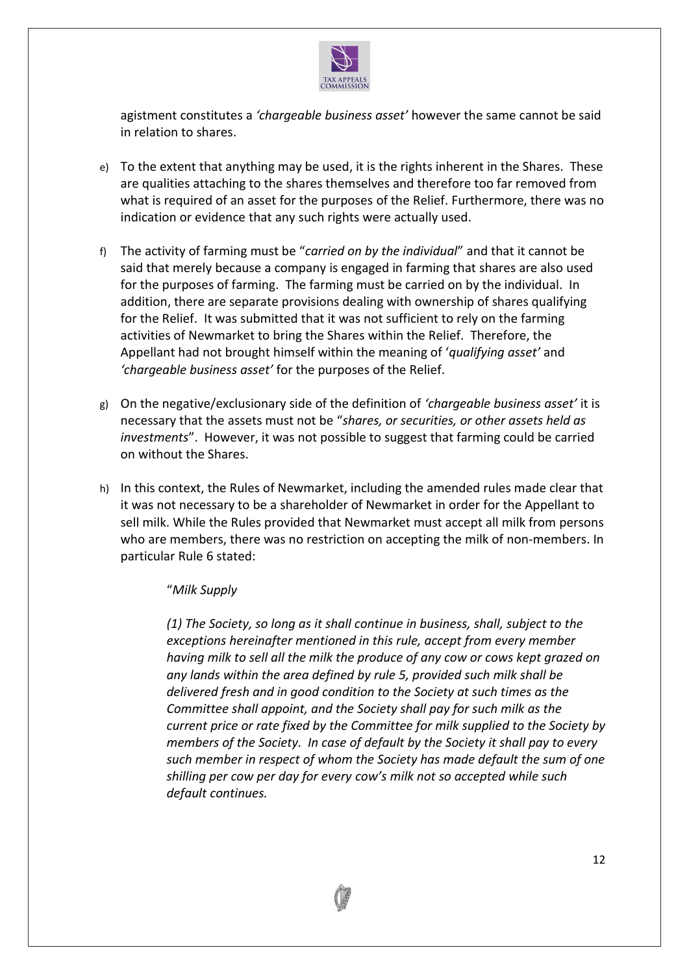

agistment constitutes a *'chargeable business asset'* however the same cannot be said in relation to shares.

- e) To the extent that anything may be used, it is the rights inherent in the Shares. These are qualities attaching to the shares themselves and therefore too far removed from what is required of an asset for the purposes of the Relief. Furthermore, there was no indication or evidence that any such rights were actually used.
- f) The activity of farming must be "*carried on by the individual*" and that it cannot be said that merely because a company is engaged in farming that shares are also used for the purposes of farming. The farming must be carried on by the individual. In addition, there are separate provisions dealing with ownership of shares qualifying for the Relief. It was submitted that it was not sufficient to rely on the farming activities of Newmarket to bring the Shares within the Relief. Therefore, the Appellant had not brought himself within the meaning of '*qualifying asset'* and *'chargeable business asset'* for the purposes of the Relief.
- g) On the negative/exclusionary side of the definition of *'chargeable business asset'* it is necessary that the assets must not be "*shares, or securities, or other assets held as investments*". However, it was not possible to suggest that farming could be carried on without the Shares.
- h) In this context, the Rules of Newmarket, including the amended rules made clear that it was not necessary to be a shareholder of Newmarket in order for the Appellant to sell milk. While the Rules provided that Newmarket must accept all milk from persons who are members, there was no restriction on accepting the milk of non-members. In particular Rule 6 stated:

## "*Milk Supply*

*(1) The Society, so long as it shall continue in business, shall, subject to the exceptions hereinafter mentioned in this rule, accept from every member having milk to sell all the milk the produce of any cow or cows kept grazed on any lands within the area defined by rule 5, provided such milk shall be delivered fresh and in good condition to the Society at such times as the Committee shall appoint, and the Society shall pay for such milk as the current price or rate fixed by the Committee for milk supplied to the Society by members of the Society. In case of default by the Society it shall pay to every such member in respect of whom the Society has made default the sum of one shilling per cow per day for every cow's milk not so accepted while such default continues.*

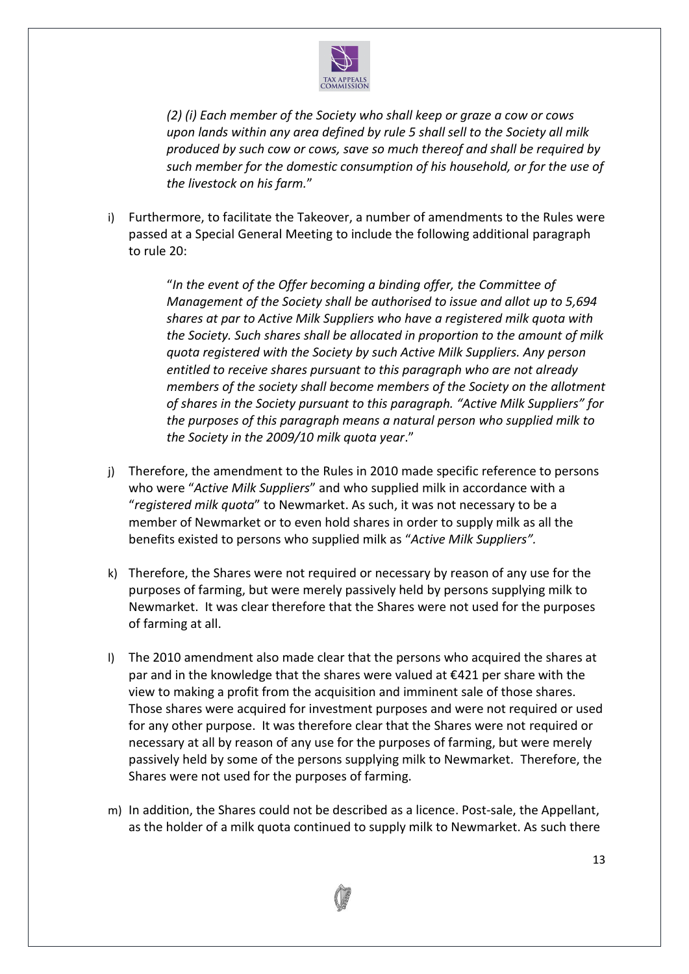

*(2) (i) Each member of the Society who shall keep or graze a cow or cows upon lands within any area defined by rule 5 shall sell to the Society all milk produced by such cow or cows, save so much thereof and shall be required by such member for the domestic consumption of his household, or for the use of the livestock on his farm.*"

i) Furthermore, to facilitate the Takeover, a number of amendments to the Rules were passed at a Special General Meeting to include the following additional paragraph to rule 20:

> "*In the event of the Offer becoming a binding offer, the Committee of Management of the Society shall be authorised to issue and allot up to 5,694 shares at par to Active Milk Suppliers who have a registered milk quota with the Society. Such shares shall be allocated in proportion to the amount of milk quota registered with the Society by such Active Milk Suppliers. Any person entitled to receive shares pursuant to this paragraph who are not already members of the society shall become members of the Society on the allotment of shares in the Society pursuant to this paragraph. "Active Milk Suppliers" for the purposes of this paragraph means a natural person who supplied milk to the Society in the 2009/10 milk quota year*."

- j) Therefore, the amendment to the Rules in 2010 made specific reference to persons who were "*Active Milk Suppliers*" and who supplied milk in accordance with a "*registered milk quota*" to Newmarket. As such, it was not necessary to be a member of Newmarket or to even hold shares in order to supply milk as all the benefits existed to persons who supplied milk as "*Active Milk Suppliers".*
- k) Therefore, the Shares were not required or necessary by reason of any use for the purposes of farming, but were merely passively held by persons supplying milk to Newmarket. It was clear therefore that the Shares were not used for the purposes of farming at all.
- l) The 2010 amendment also made clear that the persons who acquired the shares at par and in the knowledge that the shares were valued at  $\epsilon$ 421 per share with the view to making a profit from the acquisition and imminent sale of those shares. Those shares were acquired for investment purposes and were not required or used for any other purpose. It was therefore clear that the Shares were not required or necessary at all by reason of any use for the purposes of farming, but were merely passively held by some of the persons supplying milk to Newmarket. Therefore, the Shares were not used for the purposes of farming.
- m) In addition, the Shares could not be described as a licence. Post-sale, the Appellant, as the holder of a milk quota continued to supply milk to Newmarket. As such there

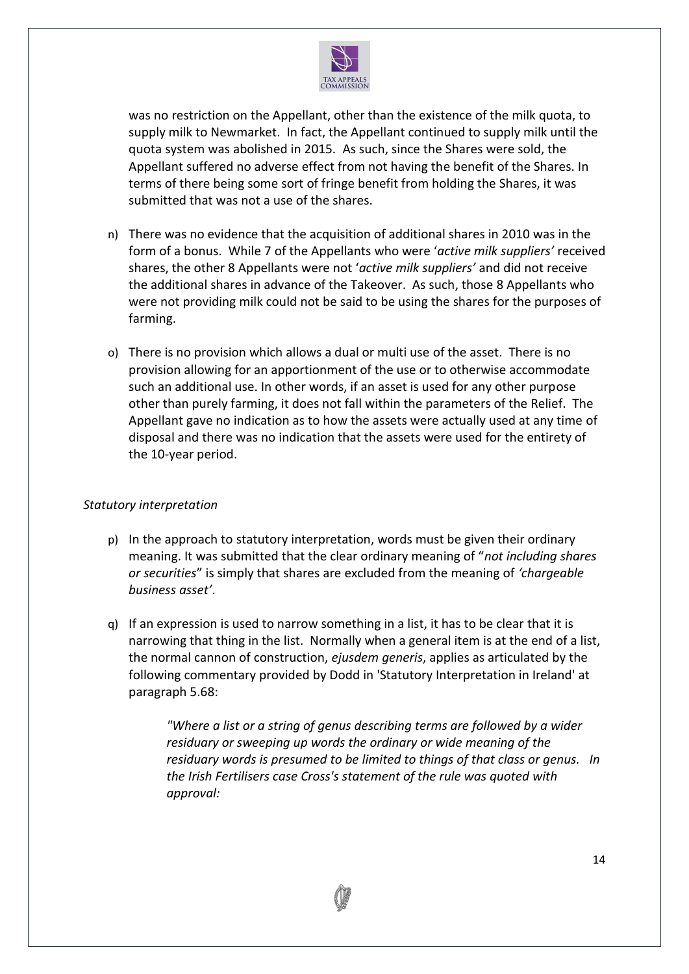

was no restriction on the Appellant, other than the existence of the milk quota, to supply milk to Newmarket. In fact, the Appellant continued to supply milk until the quota system was abolished in 2015. As such, since the Shares were sold, the Appellant suffered no adverse effect from not having the benefit of the Shares. In terms of there being some sort of fringe benefit from holding the Shares, it was submitted that was not a use of the shares.

- n) There was no evidence that the acquisition of additional shares in 2010 was in the form of a bonus. While 7 of the Appellants who were '*active milk suppliers'* received shares, the other 8 Appellants were not '*active milk suppliers'* and did not receive the additional shares in advance of the Takeover. As such, those 8 Appellants who were not providing milk could not be said to be using the shares for the purposes of farming.
- o) There is no provision which allows a dual or multi use of the asset. There is no provision allowing for an apportionment of the use or to otherwise accommodate such an additional use. In other words, if an asset is used for any other purpose other than purely farming, it does not fall within the parameters of the Relief. The Appellant gave no indication as to how the assets were actually used at any time of disposal and there was no indication that the assets were used for the entirety of the 10-year period.

## *Statutory interpretation*

- p) In the approach to statutory interpretation, words must be given their ordinary meaning. It was submitted that the clear ordinary meaning of "*not including shares or securities*" is simply that shares are excluded from the meaning of *'chargeable business asset'*.
- q) If an expression is used to narrow something in a list, it has to be clear that it is narrowing that thing in the list. Normally when a general item is at the end of a list, the normal cannon of construction, *ejusdem generis*, applies as articulated by the following commentary provided by Dodd in 'Statutory Interpretation in Ireland' at paragraph 5.68:

*"Where a list or a string of genus describing terms are followed by a wider residuary or sweeping up words the ordinary or wide meaning of the residuary words is presumed to be limited to things of that class or genus. In the Irish Fertilisers case Cross's statement of the rule was quoted with approval:*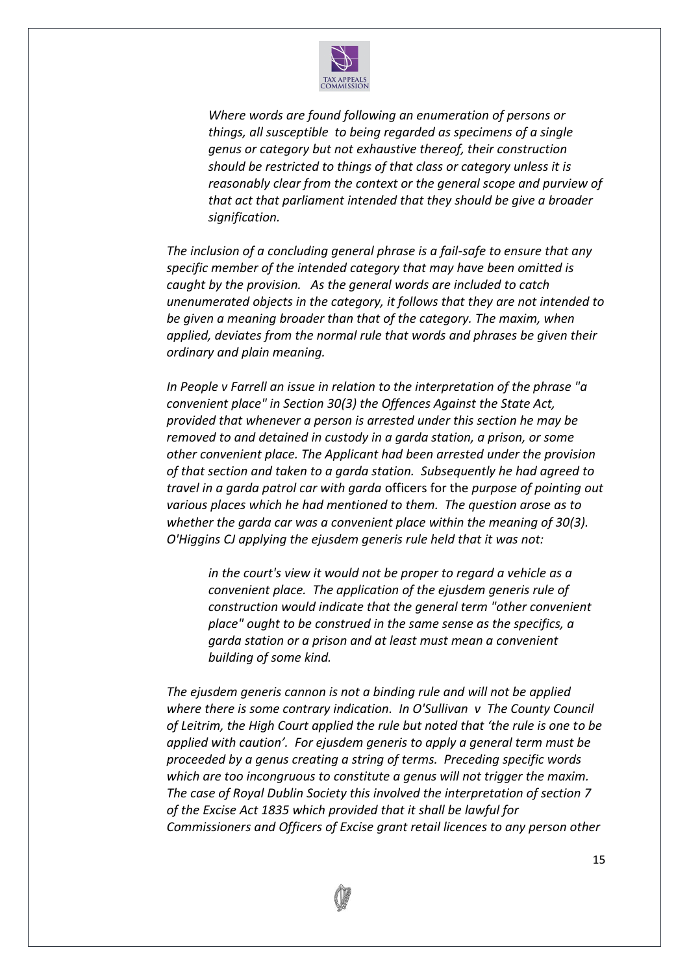

*Where words are found following an enumeration of persons or things, all susceptible to being regarded as specimens of a single genus or category but not exhaustive thereof, their construction should be restricted to things of that class or category unless it is reasonably clear from the context or the general scope and purview of that act that parliament intended that they should be give a broader signification.* 

*The inclusion of a concluding general phrase is a fail-safe to ensure that any specific member of the intended category that may have been omitted is caught by the provision. As the general words are included to catch unenumerated objects in the category, it follows that they are not intended to be given a meaning broader than that of the category. The maxim, when applied, deviates from the normal rule that words and phrases be given their ordinary and plain meaning.* 

*In People v Farrell an issue in relation to the interpretation of the phrase "a convenient place" in Section 30(3) the Offences Against the State Act, provided that whenever a person is arrested under this section he may be removed to and detained in custody in a garda station, a prison, or some other convenient place. The Applicant had been arrested under the provision of that section and taken to a garda station. Subsequently he had agreed to travel in a garda patrol car with garda* officers for the *purpose of pointing out various places which he had mentioned to them. The question arose as to whether the garda car was a convenient place within the meaning of 30(3). O'Higgins CJ applying the ejusdem generis rule held that it was not:* 

*in the court's view it would not be proper to regard a vehicle as a convenient place. The application of the ejusdem generis rule of construction would indicate that the general term "other convenient place" ought to be construed in the same sense as the specifics, a garda station or a prison and at least must mean a convenient building of some kind.*

*The ejusdem generis cannon is not a binding rule and will not be applied where there is some contrary indication. In O'Sullivan v The County Council of Leitrim, the High Court applied the rule but noted that 'the rule is one to be applied with caution'. For ejusdem generis to apply a general term must be proceeded by a genus creating a string of terms. Preceding specific words which are too incongruous to constitute a genus will not trigger the maxim. The case of Royal Dublin Society this involved the interpretation of section 7 of the Excise Act 1835 which provided that it shall be lawful for Commissioners and Officers of Excise grant retail licences to any person other* 

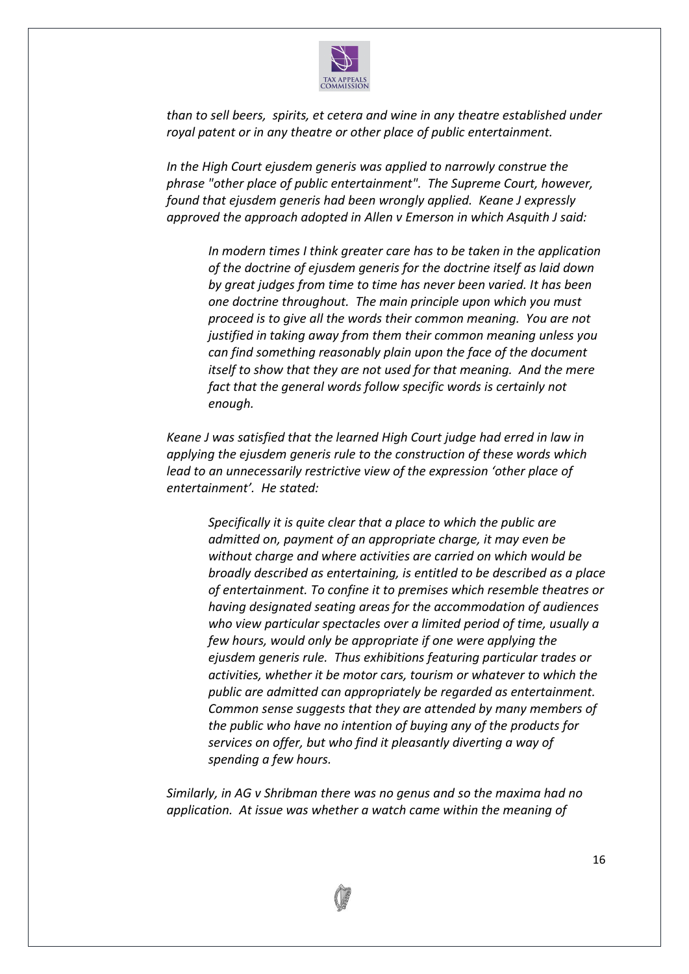

*than to sell beers, spirits, et cetera and wine in any theatre established under royal patent or in any theatre or other place of public entertainment.* 

*In the High Court ejusdem generis was applied to narrowly construe the phrase "other place of public entertainment". The Supreme Court, however, found that ejusdem generis had been wrongly applied. Keane J expressly approved the approach adopted in Allen v Emerson in which Asquith J said:*

*In modern times I think greater care has to be taken in the application of the doctrine of ejusdem generis for the doctrine itself as laid down by great judges from time to time has never been varied. It has been one doctrine throughout. The main principle upon which you must proceed is to give all the words their common meaning. You are not justified in taking away from them their common meaning unless you can find something reasonably plain upon the face of the document itself to show that they are not used for that meaning. And the mere fact that the general words follow specific words is certainly not enough.*

*Keane J was satisfied that the learned High Court judge had erred in law in applying the ejusdem generis rule to the construction of these words which lead to an unnecessarily restrictive view of the expression 'other place of entertainment'. He stated:*

*Specifically it is quite clear that a place to which the public are admitted on, payment of an appropriate charge, it may even be without charge and where activities are carried on which would be broadly described as entertaining, is entitled to be described as a place of entertainment. To confine it to premises which resemble theatres or having designated seating areas for the accommodation of audiences who view particular spectacles over a limited period of time, usually a few hours, would only be appropriate if one were applying the ejusdem generis rule. Thus exhibitions featuring particular trades or activities, whether it be motor cars, tourism or whatever to which the public are admitted can appropriately be regarded as entertainment. Common sense suggests that they are attended by many members of the public who have no intention of buying any of the products for services on offer, but who find it pleasantly diverting a way of spending a few hours.* 

*Similarly, in AG v Shribman there was no genus and so the maxima had no application. At issue was whether a watch came within the meaning of* 

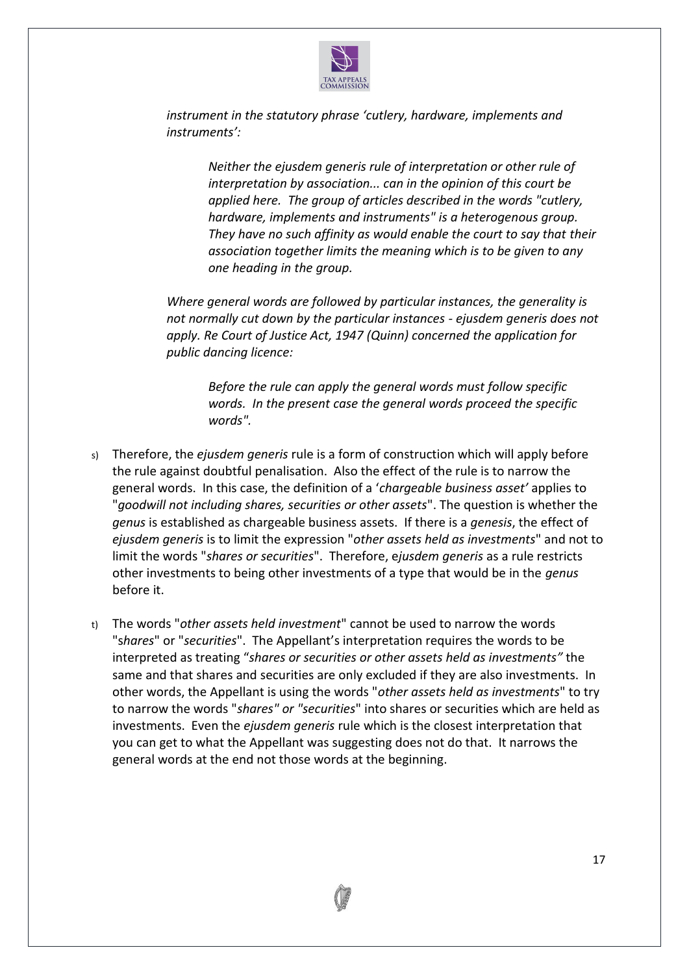

*instrument in the statutory phrase 'cutlery, hardware, implements and instruments':* 

> *Neither the ejusdem generis rule of interpretation or other rule of interpretation by association... can in the opinion of this court be applied here. The group of articles described in the words "cutlery, hardware, implements and instruments" is a heterogenous group. They have no such affinity as would enable the court to say that their association together limits the meaning which is to be given to any one heading in the group.*

*Where general words are followed by particular instances, the generality is not normally cut down by the particular instances - ejusdem generis does not apply. Re Court of Justice Act, 1947 (Quinn) concerned the application for public dancing licence:*

*Before the rule can apply the general words must follow specific words. In the present case the general words proceed the specific words".* 

- s) Therefore, the *ejusdem generis* rule is a form of construction which will apply before the rule against doubtful penalisation. Also the effect of the rule is to narrow the general words. In this case, the definition of a '*chargeable business asset'* applies to "*goodwill not including shares, securities or other assets*". The question is whether the *genus* is established as chargeable business assets. If there is a *genesis*, the effect of *ejusdem generis* is to limit the expression "*other assets held as investments*" and not to limit the words "*shares or securities*". Therefore, e*jusdem generis* as a rule restricts other investments to being other investments of a type that would be in the *genus* before it.
- t) The words "*other assets held investment*" cannot be used to narrow the words "s*hares*" or "*securities*". The Appellant's interpretation requires the words to be interpreted as treating "*shares or securities or other assets held as investments"* the same and that shares and securities are only excluded if they are also investments. In other words, the Appellant is using the words "*other assets held as investments*" to try to narrow the words "*shares" or "securities*" into shares or securities which are held as investments. Even the *ejusdem generis* rule which is the closest interpretation that you can get to what the Appellant was suggesting does not do that. It narrows the general words at the end not those words at the beginning.

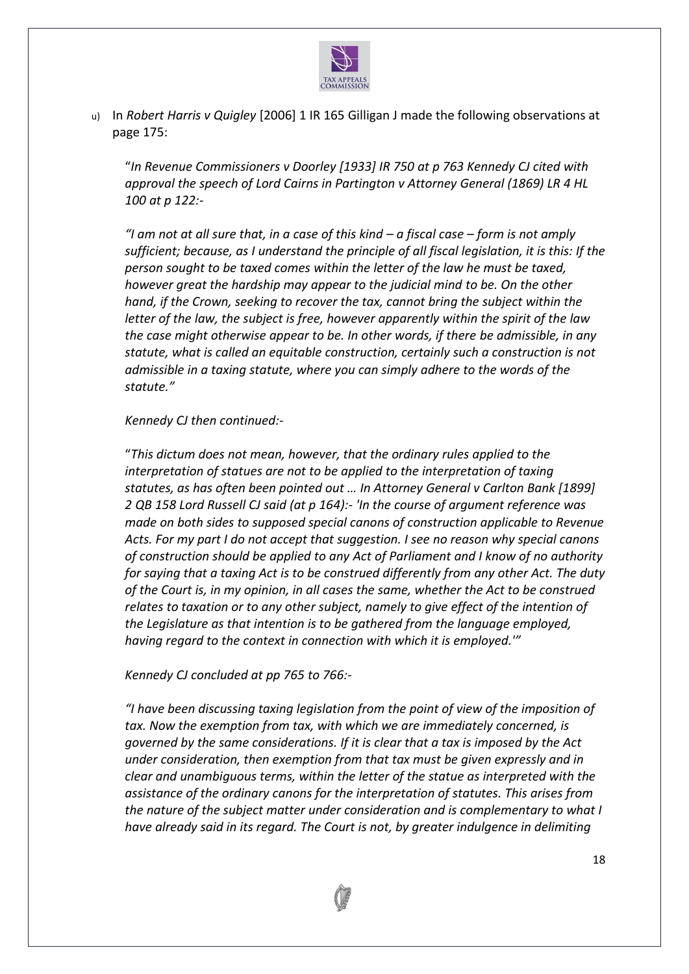

u) In *Robert Harris v Quigley* [2006] 1 IR 165 Gilligan J made the following observations at page 175:

"*In Revenue Commissioners v Doorley [1933] IR 750 at p 763 Kennedy CJ cited with approval the speech of Lord Cairns in Partington v Attorney General (1869) LR 4 HL 100 at p 122:-*

*"I am not at all sure that, in a case of this kind – a fiscal case – form is not amply sufficient; because, as I understand the principle of all fiscal legislation, it is this: If the person sought to be taxed comes within the letter of the law he must be taxed, however great the hardship may appear to the judicial mind to be. On the other hand, if the Crown, seeking to recover the tax, cannot bring the subject within the letter of the law, the subject is free, however apparently within the spirit of the law the case might otherwise appear to be. In other words, if there be admissible, in any statute, what is called an equitable construction, certainly such a construction is not admissible in a taxing statute, where you can simply adhere to the words of the statute."*

#### *Kennedy CJ then continued:-*

"*This dictum does not mean, however, that the ordinary rules applied to the interpretation of statues are not to be applied to the interpretation of taxing statutes, as has often been pointed out … In Attorney General v Carlton Bank [1899] 2 QB 158 Lord Russell CJ said (at p 164):- 'In the course of argument reference was made on both sides to supposed special canons of construction applicable to Revenue Acts. For my part I do not accept that suggestion. I see no reason why special canons of construction should be applied to any Act of Parliament and I know of no authority for saying that a taxing Act is to be construed differently from any other Act. The duty of the Court is, in my opinion, in all cases the same, whether the Act to be construed relates to taxation or to any other subject, namely to give effect of the intention of the Legislature as that intention is to be gathered from the language employed, having regard to the context in connection with which it is employed.'"*

#### *Kennedy CJ concluded at pp 765 to 766:-*

*"I have been discussing taxing legislation from the point of view of the imposition of tax. Now the exemption from tax, with which we are immediately concerned, is governed by the same considerations. If it is clear that a tax is imposed by the Act under consideration, then exemption from that tax must be given expressly and in clear and unambiguous terms, within the letter of the statue as interpreted with the assistance of the ordinary canons for the interpretation of statutes. This arises from the nature of the subject matter under consideration and is complementary to what I have already said in its regard. The Court is not, by greater indulgence in delimiting* 

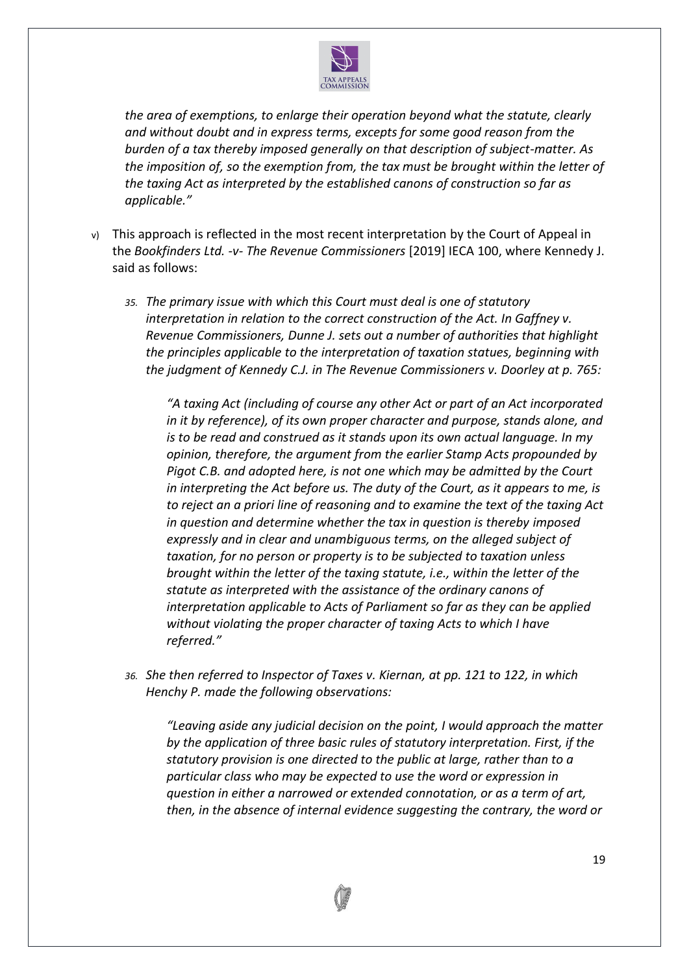

*the area of exemptions, to enlarge their operation beyond what the statute, clearly and without doubt and in express terms, excepts for some good reason from the burden of a tax thereby imposed generally on that description of subject-matter. As the imposition of, so the exemption from, the tax must be brought within the letter of the taxing Act as interpreted by the established canons of construction so far as applicable."*

- v) This approach is reflected in the most recent interpretation by the Court of Appeal in the *Bookfinders Ltd. -v- The Revenue Commissioners* [2019] IECA 100, where Kennedy J. said as follows:
	- *35. The primary issue with which this Court must deal is one of statutory interpretation in relation to the correct construction of the Act. In Gaffney v. Revenue Commissioners, Dunne J. sets out a number of authorities that highlight the principles applicable to the interpretation of taxation statues, beginning with the judgment of Kennedy C.J. in The Revenue Commissioners v. Doorley at p. 765:*

*"A taxing Act (including of course any other Act or part of an Act incorporated in it by reference), of its own proper character and purpose, stands alone, and is to be read and construed as it stands upon its own actual language. In my opinion, therefore, the argument from the earlier Stamp Acts propounded by Pigot C.B. and adopted here, is not one which may be admitted by the Court in interpreting the Act before us. The duty of the Court, as it appears to me, is to reject an a priori line of reasoning and to examine the text of the taxing Act in question and determine whether the tax in question is thereby imposed expressly and in clear and unambiguous terms, on the alleged subject of taxation, for no person or property is to be subjected to taxation unless brought within the letter of the taxing statute, i.e., within the letter of the statute as interpreted with the assistance of the ordinary canons of interpretation applicable to Acts of Parliament so far as they can be applied without violating the proper character of taxing Acts to which I have referred."*

*36. She then referred to Inspector of Taxes v. Kiernan, at pp. 121 to 122, in which Henchy P. made the following observations:*

*"Leaving aside any judicial decision on the point, I would approach the matter by the application of three basic rules of statutory interpretation. First, if the statutory provision is one directed to the public at large, rather than to a particular class who may be expected to use the word or expression in question in either a narrowed or extended connotation, or as a term of art, then, in the absence of internal evidence suggesting the contrary, the word or* 

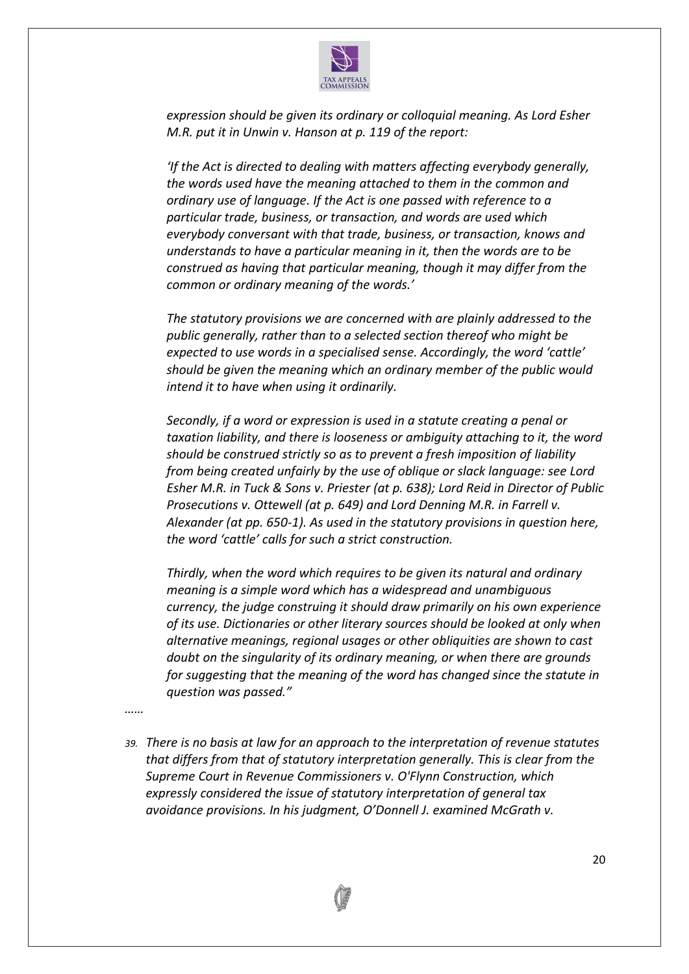

*expression should be given its ordinary or colloquial meaning. As Lord Esher M.R. put it in Unwin v. Hanson at p. 119 of the report:*

*'If the Act is directed to dealing with matters affecting everybody generally, the words used have the meaning attached to them in the common and ordinary use of language. If the Act is one passed with reference to a particular trade, business, or transaction, and words are used which everybody conversant with that trade, business, or transaction, knows and understands to have a particular meaning in it, then the words are to be construed as having that particular meaning, though it may differ from the common or ordinary meaning of the words.'*

*The statutory provisions we are concerned with are plainly addressed to the public generally, rather than to a selected section thereof who might be expected to use words in a specialised sense. Accordingly, the word 'cattle' should be given the meaning which an ordinary member of the public would intend it to have when using it ordinarily.*

*Secondly, if a word or expression is used in a statute creating a penal or taxation liability, and there is looseness or ambiguity attaching to it, the word should be construed strictly so as to prevent a fresh imposition of liability from being created unfairly by the use of oblique or slack language: see Lord Esher M.R. in Tuck & Sons v. Priester (at p. 638); Lord Reid in Director of Public Prosecutions v. Ottewell (at p. 649) and Lord Denning M.R. in Farrell v. Alexander (at pp. 650-1). As used in the statutory provisions in question here, the word 'cattle' calls for such a strict construction.*

*Thirdly, when the word which requires to be given its natural and ordinary meaning is a simple word which has a widespread and unambiguous currency, the judge construing it should draw primarily on his own experience of its use. Dictionaries or other literary sources should be looked at only when alternative meanings, regional usages or other obliquities are shown to cast doubt on the singularity of its ordinary meaning, or when there are grounds for suggesting that the meaning of the word has changed since the statute in question was passed."*

*……*

*39. There is no basis at law for an approach to the interpretation of revenue statutes that differs from that of statutory interpretation generally. This is clear from the Supreme Court in Revenue Commissioners v. O'Flynn Construction, which expressly considered the issue of statutory interpretation of general tax avoidance provisions. In his judgment, O'Donnell J. examined McGrath v.*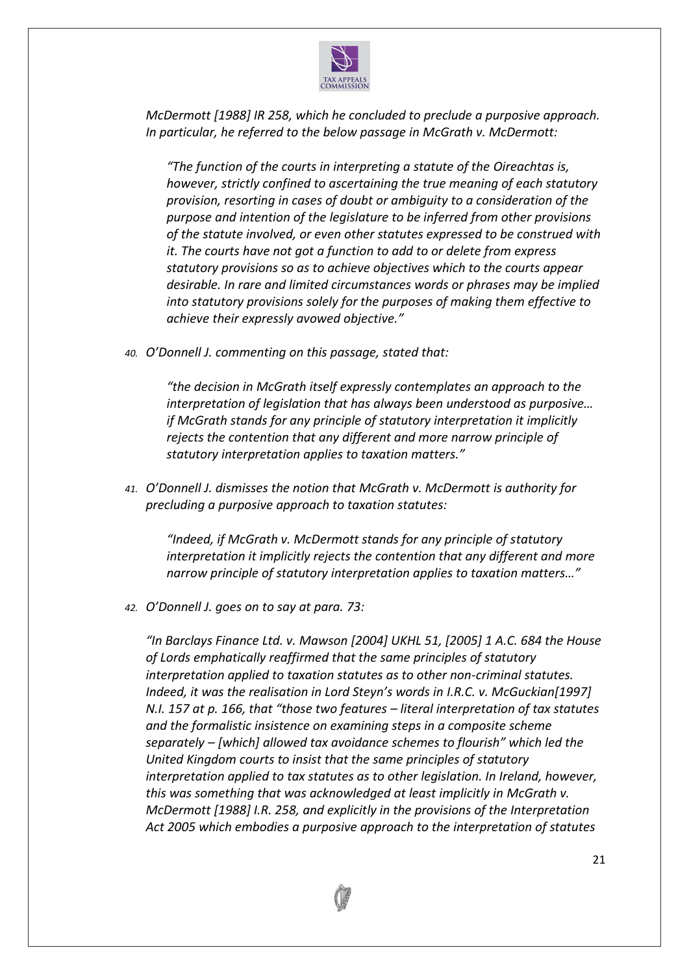

*McDermott [1988] IR 258, which he concluded to preclude a purposive approach. In particular, he referred to the below passage in McGrath v. McDermott:*

*"The function of the courts in interpreting a statute of the Oireachtas is, however, strictly confined to ascertaining the true meaning of each statutory provision, resorting in cases of doubt or ambiguity to a consideration of the purpose and intention of the legislature to be inferred from other provisions of the statute involved, or even other statutes expressed to be construed with it. The courts have not got a function to add to or delete from express statutory provisions so as to achieve objectives which to the courts appear desirable. In rare and limited circumstances words or phrases may be implied into statutory provisions solely for the purposes of making them effective to achieve their expressly avowed objective."*

*40. O'Donnell J. commenting on this passage, stated that:*

*"the decision in McGrath itself expressly contemplates an approach to the interpretation of legislation that has always been understood as purposive… if McGrath stands for any principle of statutory interpretation it implicitly rejects the contention that any different and more narrow principle of statutory interpretation applies to taxation matters."*

*41. O'Donnell J. dismisses the notion that McGrath v. McDermott is authority for precluding a purposive approach to taxation statutes:*

*"Indeed, if McGrath v. McDermott stands for any principle of statutory interpretation it implicitly rejects the contention that any different and more narrow principle of statutory interpretation applies to taxation matters…"*

*42. O'Donnell J. goes on to say at para. 73:*

*"In Barclays Finance Ltd. v. Mawson [2004] UKHL 51, [2005] 1 A.C. 684 the House of Lords emphatically reaffirmed that the same principles of statutory interpretation applied to taxation statutes as to other non-criminal statutes. Indeed, it was the realisation in Lord Steyn's words in I.R.C. v. McGuckian[1997] N.I. 157 at p. 166, that "those two features – literal interpretation of tax statutes and the formalistic insistence on examining steps in a composite scheme separately – [which] allowed tax avoidance schemes to flourish" which led the United Kingdom courts to insist that the same principles of statutory interpretation applied to tax statutes as to other legislation. In Ireland, however, this was something that was acknowledged at least implicitly in McGrath v. McDermott [1988] I.R. 258, and explicitly in the provisions of the Interpretation Act 2005 which embodies a purposive approach to the interpretation of statutes* 

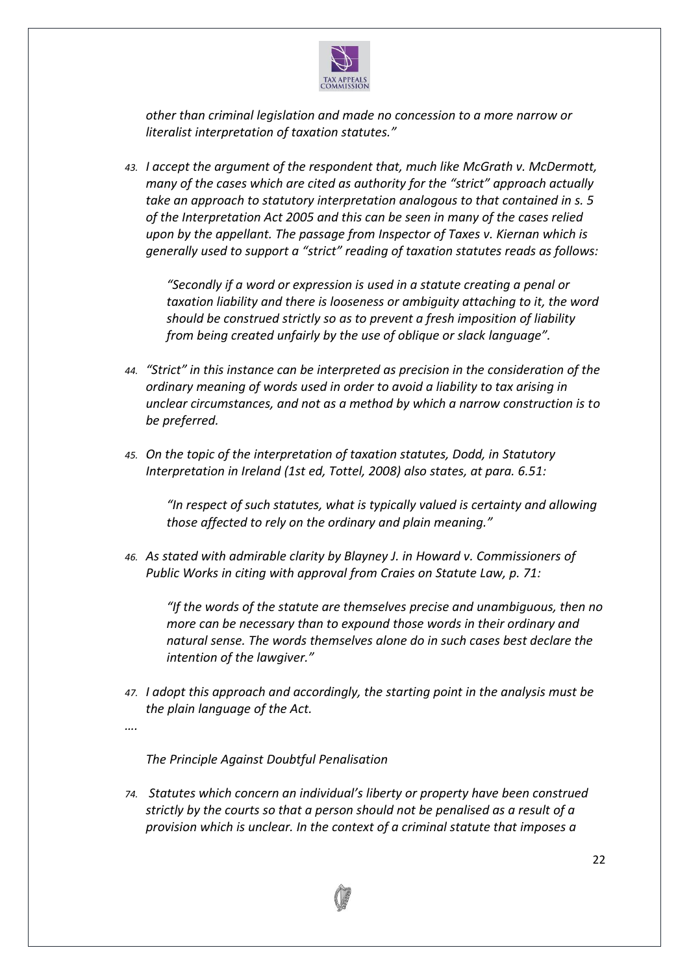

*other than criminal legislation and made no concession to a more narrow or literalist interpretation of taxation statutes."*

*43. I accept the argument of the respondent that, much like McGrath v. McDermott, many of the cases which are cited as authority for the "strict" approach actually take an approach to statutory interpretation analogous to that contained in s. 5 of the Interpretation Act 2005 and this can be seen in many of the cases relied upon by the appellant. The passage from Inspector of Taxes v. Kiernan which is generally used to support a "strict" reading of taxation statutes reads as follows:*

*"Secondly if a word or expression is used in a statute creating a penal or taxation liability and there is looseness or ambiguity attaching to it, the word should be construed strictly so as to prevent a fresh imposition of liability from being created unfairly by the use of oblique or slack language".*

- *44. "Strict" in this instance can be interpreted as precision in the consideration of the ordinary meaning of words used in order to avoid a liability to tax arising in unclear circumstances, and not as a method by which a narrow construction is to be preferred.*
- *45. On the topic of the interpretation of taxation statutes, Dodd, in Statutory Interpretation in Ireland (1st ed, Tottel, 2008) also states, at para. 6.51:*

*"In respect of such statutes, what is typically valued is certainty and allowing those affected to rely on the ordinary and plain meaning."*

*46. As stated with admirable clarity by Blayney J. in Howard v. Commissioners of Public Works in citing with approval from Craies on Statute Law, p. 71:*

*"If the words of the statute are themselves precise and unambiguous, then no more can be necessary than to expound those words in their ordinary and natural sense. The words themselves alone do in such cases best declare the intention of the lawgiver."*

*47. I adopt this approach and accordingly, the starting point in the analysis must be the plain language of the Act.*

*….*

*The Principle Against Doubtful Penalisation*

*74. Statutes which concern an individual's liberty or property have been construed strictly by the courts so that a person should not be penalised as a result of a provision which is unclear. In the context of a criminal statute that imposes a* 

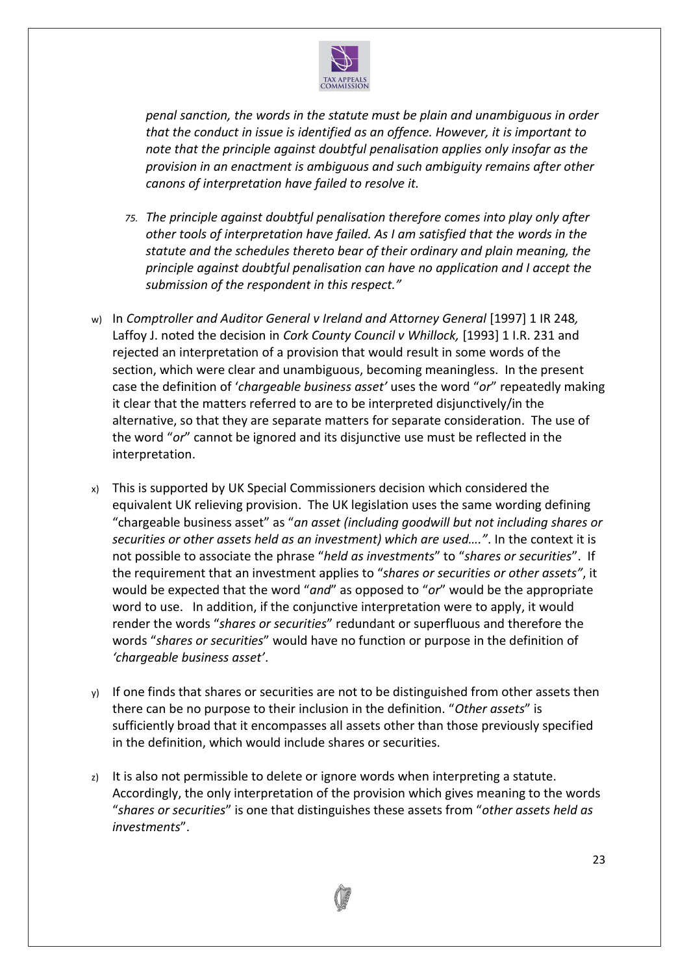

*penal sanction, the words in the statute must be plain and unambiguous in order that the conduct in issue is identified as an offence. However, it is important to note that the principle against doubtful penalisation applies only insofar as the provision in an enactment is ambiguous and such ambiguity remains after other canons of interpretation have failed to resolve it.*

- *75. The principle against doubtful penalisation therefore comes into play only after other tools of interpretation have failed. As I am satisfied that the words in the statute and the schedules thereto bear of their ordinary and plain meaning, the principle against doubtful penalisation can have no application and I accept the submission of the respondent in this respect."*
- w) In *Comptroller and Auditor General v Ireland and Attorney General* [1997] 1 IR 248*,*  Laffoy J. noted the decision in *Cork County Council v Whillock,* [1993] 1 I.R. 231 and rejected an interpretation of a provision that would result in some words of the section, which were clear and unambiguous, becoming meaningless. In the present case the definition of '*chargeable business asset'* uses the word "*or*" repeatedly making it clear that the matters referred to are to be interpreted disjunctively/in the alternative, so that they are separate matters for separate consideration. The use of the word "*or*" cannot be ignored and its disjunctive use must be reflected in the interpretation.
- x) This is supported by UK Special Commissioners decision which considered the equivalent UK relieving provision. The UK legislation uses the same wording defining "chargeable business asset" as "*an asset (including goodwill but not including shares or securities or other assets held as an investment) which are used…."*. In the context it is not possible to associate the phrase "*held as investments*" to "*shares or securities*". If the requirement that an investment applies to "*shares or securities or other assets"*, it would be expected that the word "*and*" as opposed to "*or*" would be the appropriate word to use. In addition, if the conjunctive interpretation were to apply, it would render the words "*shares or securities*" redundant or superfluous and therefore the words "*shares or securities*" would have no function or purpose in the definition of *'chargeable business asset'*.
- $y)$  If one finds that shares or securities are not to be distinguished from other assets then there can be no purpose to their inclusion in the definition. "*Other assets*" is sufficiently broad that it encompasses all assets other than those previously specified in the definition, which would include shares or securities.
- z) It is also not permissible to delete or ignore words when interpreting a statute. Accordingly, the only interpretation of the provision which gives meaning to the words "*shares or securities*" is one that distinguishes these assets from "*other assets held as investments*".

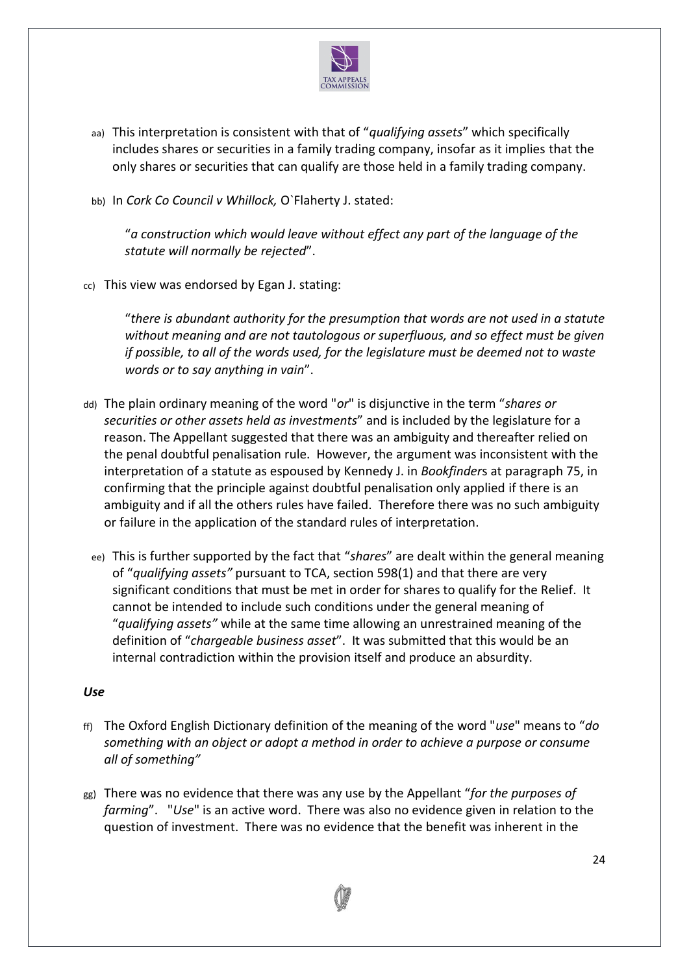

- aa) This interpretation is consistent with that of "*qualifying assets*" which specifically includes shares or securities in a family trading company, insofar as it implies that the only shares or securities that can qualify are those held in a family trading company.
- bb) In *Cork Co Council v Whillock,* O`Flaherty J. stated:

"*a construction which would leave without effect any part of the language of the statute will normally be rejected*".

cc) This view was endorsed by Egan J. stating:

"*there is abundant authority for the presumption that words are not used in a statute without meaning and are not tautologous or superfluous, and so effect must be given if possible, to all of the words used, for the legislature must be deemed not to waste words or to say anything in vain*".

- dd) The plain ordinary meaning of the word "*or*" is disjunctive in the term "*shares or securities or other assets held as investments*" and is included by the legislature for a reason. The Appellant suggested that there was an ambiguity and thereafter relied on the penal doubtful penalisation rule. However, the argument was inconsistent with the interpretation of a statute as espoused by Kennedy J. in *Bookfinder*s at paragraph 75, in confirming that the principle against doubtful penalisation only applied if there is an ambiguity and if all the others rules have failed. Therefore there was no such ambiguity or failure in the application of the standard rules of interpretation.
	- ee) This is further supported by the fact that "*shares*" are dealt within the general meaning of "*qualifying assets"* pursuant to TCA, section 598(1) and that there are very significant conditions that must be met in order for shares to qualify for the Relief. It cannot be intended to include such conditions under the general meaning of "*qualifying assets"* while at the same time allowing an unrestrained meaning of the definition of "*chargeable business asset*". It was submitted that this would be an internal contradiction within the provision itself and produce an absurdity.

## *Use*

- ff) The Oxford English Dictionary definition of the meaning of the word "*use*" means to "*do something with an object or adopt a method in order to achieve a purpose or consume all of something"*
- gg) There was no evidence that there was any use by the Appellant "*for the purposes of farming*". "*Use*" is an active word. There was also no evidence given in relation to the question of investment. There was no evidence that the benefit was inherent in the

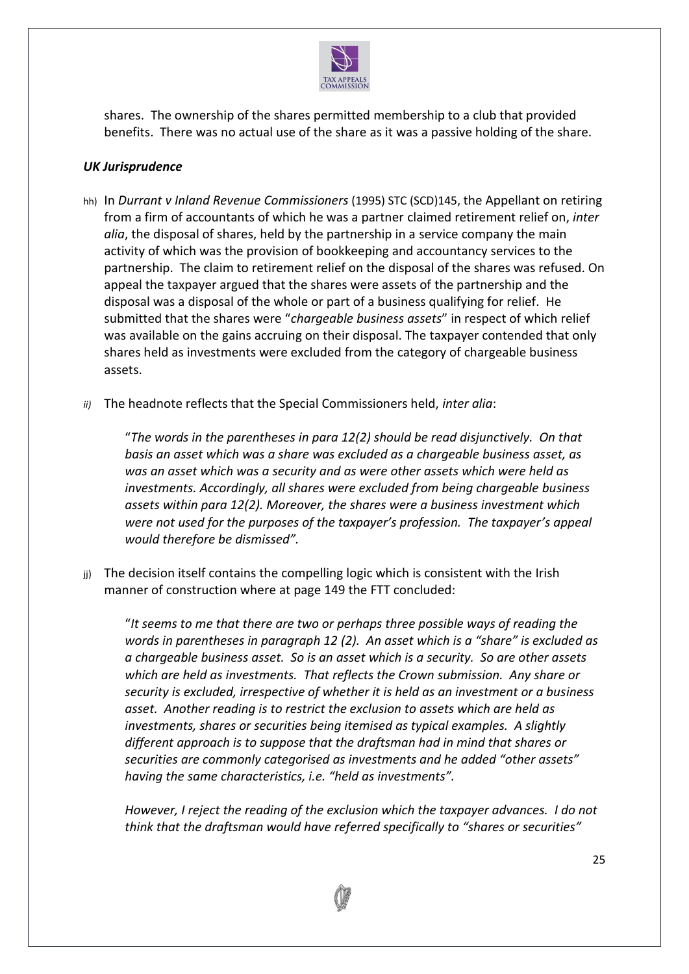

shares. The ownership of the shares permitted membership to a club that provided benefits. There was no actual use of the share as it was a passive holding of the share.

## *UK Jurisprudence*

- hh) In *Durrant v Inland Revenue Commissioners* (1995) STC (SCD)145, the Appellant on retiring from a firm of accountants of which he was a partner claimed retirement relief on, *inter alia*, the disposal of shares, held by the partnership in a service company the main activity of which was the provision of bookkeeping and accountancy services to the partnership. The claim to retirement relief on the disposal of the shares was refused. On appeal the taxpayer argued that the shares were assets of the partnership and the disposal was a disposal of the whole or part of a business qualifying for relief. He submitted that the shares were "*chargeable business assets*" in respect of which relief was available on the gains accruing on their disposal. The taxpayer contended that only shares held as investments were excluded from the category of chargeable business assets.
- *ii)* The headnote reflects that the Special Commissioners held, *inter alia*:

"*The words in the parentheses in para 12(2) should be read disjunctively. On that basis an asset which was a share was excluded as a chargeable business asset, as was an asset which was a security and as were other assets which were held as investments. Accordingly, all shares were excluded from being chargeable business assets within para 12(2). Moreover, the shares were a business investment which were not used for the purposes of the taxpayer's profession. The taxpayer's appeal would therefore be dismissed".*

jj) The decision itself contains the compelling logic which is consistent with the Irish manner of construction where at page 149 the FTT concluded:

"*It seems to me that there are two or perhaps three possible ways of reading the words in parentheses in paragraph 12 (2). An asset which is a "share" is excluded as a chargeable business asset. So is an asset which is a security. So are other assets which are held as investments. That reflects the Crown submission. Any share or security is excluded, irrespective of whether it is held as an investment or a business asset. Another reading is to restrict the exclusion to assets which are held as investments, shares or securities being itemised as typical examples. A slightly different approach is to suppose that the draftsman had in mind that shares or securities are commonly categorised as investments and he added "other assets" having the same characteristics, i.e. "held as investments".*

*However, I reject the reading of the exclusion which the taxpayer advances. I do not think that the draftsman would have referred specifically to "shares or securities"* 

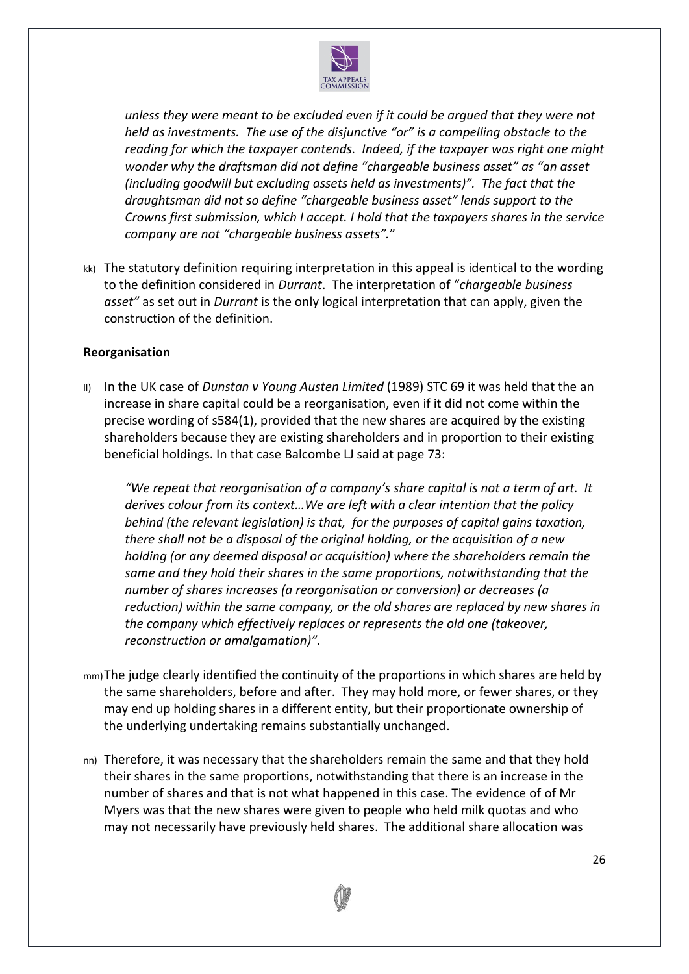

*unless they were meant to be excluded even if it could be argued that they were not held as investments. The use of the disjunctive "or" is a compelling obstacle to the reading for which the taxpayer contends. Indeed, if the taxpayer was right one might wonder why the draftsman did not define "chargeable business asset" as "an asset (including goodwill but excluding assets held as investments)". The fact that the draughtsman did not so define "chargeable business asset" lends support to the Crowns first submission, which I accept. I hold that the taxpayers shares in the service company are not "chargeable business assets".*"

kk) The statutory definition requiring interpretation in this appeal is identical to the wording to the definition considered in *Durrant*. The interpretation of "*chargeable business asset"* as set out in *Durrant* is the only logical interpretation that can apply, given the construction of the definition.

## **Reorganisation**

ll) In the UK case of *Dunstan v Young Austen Limited* (1989) STC 69 it was held that the an increase in share capital could be a reorganisation, even if it did not come within the precise wording of s584(1), provided that the new shares are acquired by the existing shareholders because they are existing shareholders and in proportion to their existing beneficial holdings. In that case Balcombe LJ said at page 73:

*"We repeat that reorganisation of a company's share capital is not a term of art. It derives colour from its context…We are left with a clear intention that the policy behind (the relevant legislation) is that, for the purposes of capital gains taxation, there shall not be a disposal of the original holding, or the acquisition of a new holding (or any deemed disposal or acquisition) where the shareholders remain the same and they hold their shares in the same proportions, notwithstanding that the number of shares increases (a reorganisation or conversion) or decreases (a reduction) within the same company, or the old shares are replaced by new shares in the company which effectively replaces or represents the old one (takeover, reconstruction or amalgamation)".*

- mm)The judge clearly identified the continuity of the proportions in which shares are held by the same shareholders, before and after. They may hold more, or fewer shares, or they may end up holding shares in a different entity, but their proportionate ownership of the underlying undertaking remains substantially unchanged.
- nn) Therefore, it was necessary that the shareholders remain the same and that they hold their shares in the same proportions, notwithstanding that there is an increase in the number of shares and that is not what happened in this case. The evidence of of Mr Myers was that the new shares were given to people who held milk quotas and who may not necessarily have previously held shares. The additional share allocation was

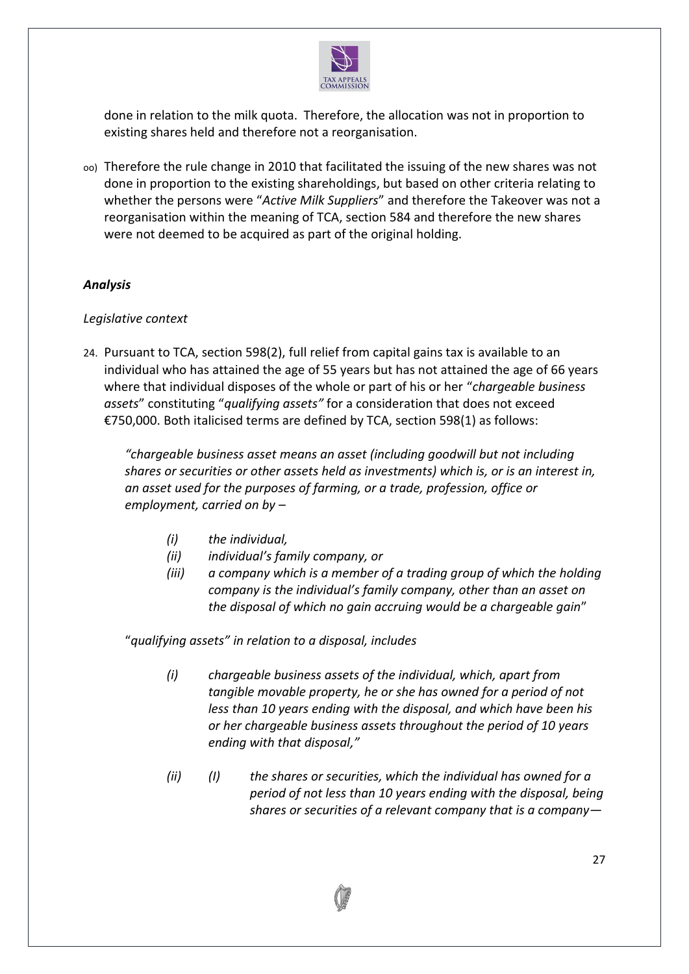

done in relation to the milk quota. Therefore, the allocation was not in proportion to existing shares held and therefore not a reorganisation.

oo) Therefore the rule change in 2010 that facilitated the issuing of the new shares was not done in proportion to the existing shareholdings, but based on other criteria relating to whether the persons were "*Active Milk Suppliers*" and therefore the Takeover was not a reorganisation within the meaning of TCA, section 584 and therefore the new shares were not deemed to be acquired as part of the original holding.

## *Analysis*

## *Legislative context*

24. Pursuant to TCA, section 598(2), full relief from capital gains tax is available to an individual who has attained the age of 55 years but has not attained the age of 66 years where that individual disposes of the whole or part of his or her "*chargeable business assets*" constituting "*qualifying assets"* for a consideration that does not exceed €750,000. Both italicised terms are defined by TCA, section 598(1) as follows:

*"chargeable business asset means an asset (including goodwill but not including shares or securities or other assets held as investments) which is, or is an interest in, an asset used for the purposes of farming, or a trade, profession, office or employment, carried on by –*

- *(i) the individual,*
- *(ii) individual's family company, or*
- *(iii) a company which is a member of a trading group of which the holding company is the individual's family company, other than an asset on the disposal of which no gain accruing would be a chargeable gain*"

"*qualifying assets" in relation to a disposal, includes*

- *(i) chargeable business assets of the individual, which, apart from tangible movable property, he or she has owned for a period of not less than 10 years ending with the disposal, and which have been his or her chargeable business assets throughout the period of 10 years ending with that disposal,"*
- *(ii) (I) the shares or securities, which the individual has owned for a period of not less than 10 years ending with the disposal, being shares or securities of a relevant company that is a company—*

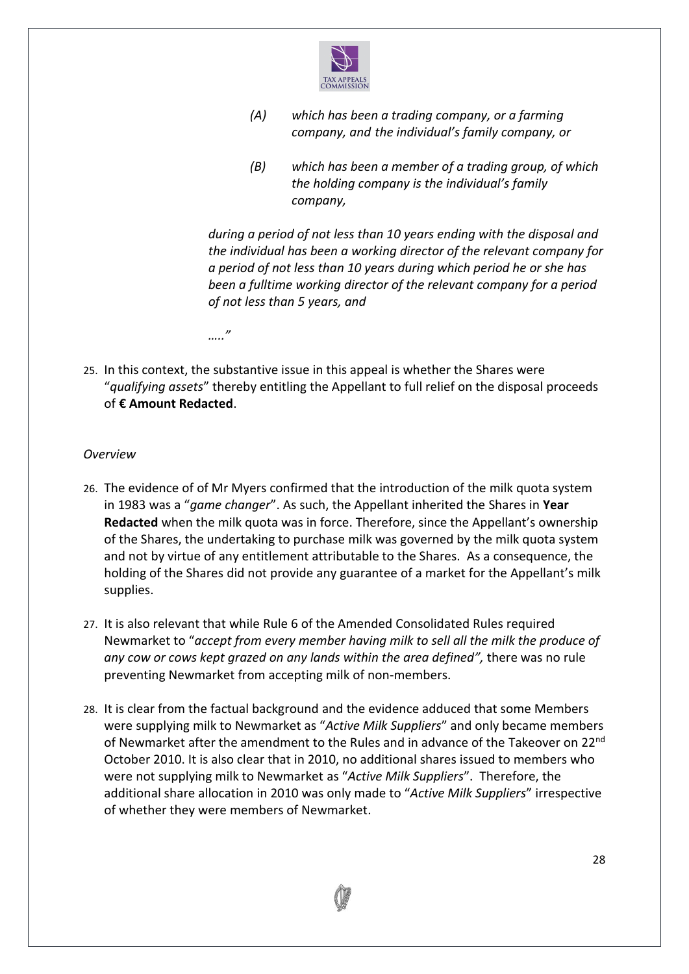

- *(A) which has been a trading company, or a farming company, and the individual's family company, or*
- *(B) which has been a member of a trading group, of which the holding company is the individual's family company,*

*during a period of not less than 10 years ending with the disposal and the individual has been a working director of the relevant company for a period of not less than 10 years during which period he or she has been a fulltime working director of the relevant company for a period of not less than 5 years, and*

*….."*

25. In this context, the substantive issue in this appeal is whether the Shares were "*qualifying assets*" thereby entitling the Appellant to full relief on the disposal proceeds of **€ Amount Redacted**.

## *Overview*

- 26. The evidence of of Mr Myers confirmed that the introduction of the milk quota system in 1983 was a "*game changer*". As such, the Appellant inherited the Shares in **Year Redacted** when the milk quota was in force. Therefore, since the Appellant's ownership of the Shares, the undertaking to purchase milk was governed by the milk quota system and not by virtue of any entitlement attributable to the Shares. As a consequence, the holding of the Shares did not provide any guarantee of a market for the Appellant's milk supplies.
- 27. It is also relevant that while Rule 6 of the Amended Consolidated Rules required Newmarket to "*accept from every member having milk to sell all the milk the produce of any cow or cows kept grazed on any lands within the area defined",* there was no rule preventing Newmarket from accepting milk of non-members.
- 28. It is clear from the factual background and the evidence adduced that some Members were supplying milk to Newmarket as "*Active Milk Suppliers*" and only became members of Newmarket after the amendment to the Rules and in advance of the Takeover on 22nd October 2010. It is also clear that in 2010, no additional shares issued to members who were not supplying milk to Newmarket as "*Active Milk Suppliers*". Therefore, the additional share allocation in 2010 was only made to "*Active Milk Suppliers*" irrespective of whether they were members of Newmarket.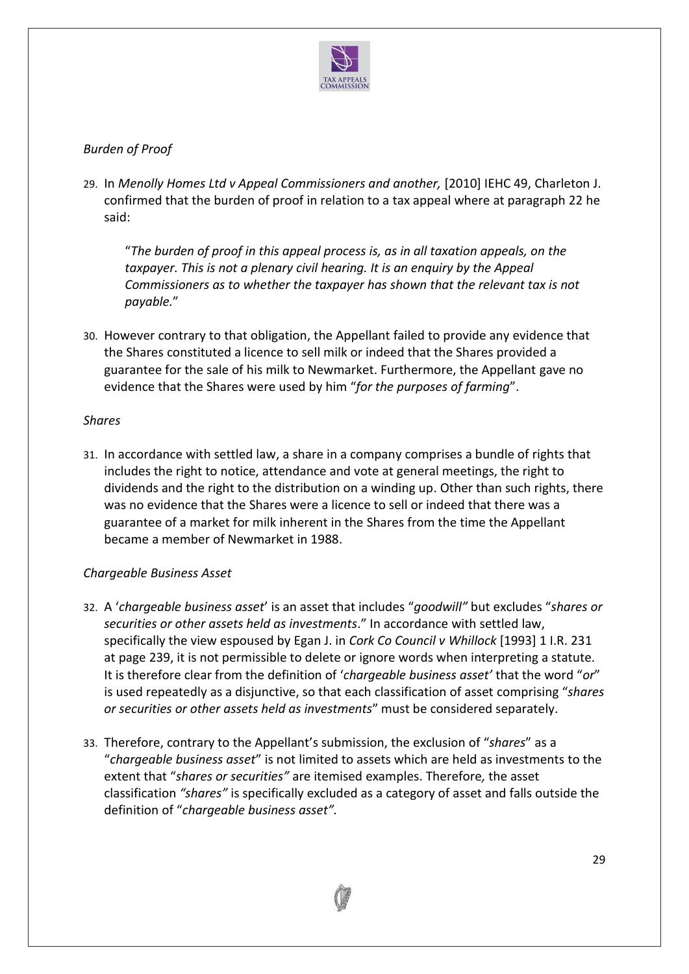

# *Burden of Proof*

29. In *Menolly Homes Ltd v Appeal Commissioners and another,* [2010] IEHC 49, Charleton J. confirmed that the burden of proof in relation to a tax appeal where at paragraph 22 he said:

"*The burden of proof in this appeal process is, as in all taxation appeals, on the taxpayer. This is not a plenary civil hearing. It is an enquiry by the Appeal Commissioners as to whether the taxpayer has shown that the relevant tax is not payable.*"

30. However contrary to that obligation, the Appellant failed to provide any evidence that the Shares constituted a licence to sell milk or indeed that the Shares provided a guarantee for the sale of his milk to Newmarket. Furthermore, the Appellant gave no evidence that the Shares were used by him "*for the purposes of farming*".

## *Shares*

31. In accordance with settled law, a share in a company comprises a bundle of rights that includes the right to notice, attendance and vote at general meetings, the right to dividends and the right to the distribution on a winding up. Other than such rights, there was no evidence that the Shares were a licence to sell or indeed that there was a guarantee of a market for milk inherent in the Shares from the time the Appellant became a member of Newmarket in 1988.

## *Chargeable Business Asset*

- 32. A '*chargeable business asset*' is an asset that includes "*goodwill"* but excludes "*shares or securities or other assets held as investments*." In accordance with settled law, specifically the view espoused by Egan J. in *Cork Co Council v Whillock* [1993] 1 I.R. 231 at page 239, it is not permissible to delete or ignore words when interpreting a statute. It is therefore clear from the definition of '*chargeable business asset'* that the word "*or*" is used repeatedly as a disjunctive, so that each classification of asset comprising "*shares or securities or other assets held as investments*" must be considered separately.
- 33. Therefore, contrary to the Appellant's submission, the exclusion of "*shares*" as a "*chargeable business asset*" is not limited to assets which are held as investments to the extent that "*shares or securities"* are itemised examples. Therefore*,* the asset classification *"shares"* is specifically excluded as a category of asset and falls outside the definition of "*chargeable business asset".*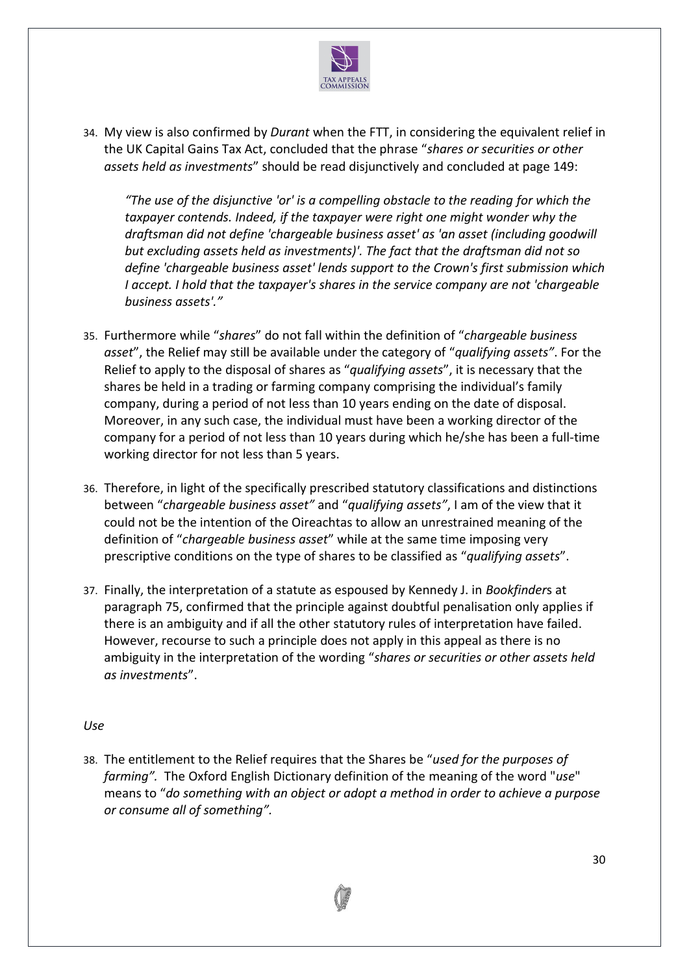

34. My view is also confirmed by *Durant* when the FTT, in considering the equivalent relief in the UK Capital Gains Tax Act, concluded that the phrase "*shares or securities or other assets held as investments*" should be read disjunctively and concluded at page 149:

*"The use of the disjunctive 'or' is a compelling obstacle to the reading for which the taxpayer contends. Indeed, if the taxpayer were right one might wonder why the draftsman did not define 'chargeable business asset' as 'an asset (including goodwill but excluding assets held as investments)'. The fact that the draftsman did not so define 'chargeable business asset' lends support to the Crown's first submission which I accept. I hold that the taxpayer's shares in the service company are not 'chargeable business assets'."*

- 35. Furthermore while "*shares*" do not fall within the definition of "*chargeable business asset*", the Relief may still be available under the category of "*qualifying assets"*. For the Relief to apply to the disposal of shares as "*qualifying assets*", it is necessary that the shares be held in a trading or farming company comprising the individual's family company, during a period of not less than 10 years ending on the date of disposal. Moreover, in any such case, the individual must have been a working director of the company for a period of not less than 10 years during which he/she has been a full-time working director for not less than 5 years.
- 36. Therefore, in light of the specifically prescribed statutory classifications and distinctions between "*chargeable business asset"* and "*qualifying assets"*, I am of the view that it could not be the intention of the Oireachtas to allow an unrestrained meaning of the definition of "*chargeable business asset*" while at the same time imposing very prescriptive conditions on the type of shares to be classified as "*qualifying assets*".
- 37. Finally, the interpretation of a statute as espoused by Kennedy J. in *Bookfinder*s at paragraph 75, confirmed that the principle against doubtful penalisation only applies if there is an ambiguity and if all the other statutory rules of interpretation have failed. However, recourse to such a principle does not apply in this appeal as there is no ambiguity in the interpretation of the wording "*shares or securities or other assets held as investments*".

## *Use*

38. The entitlement to the Relief requires that the Shares be "*used for the purposes of farming".* The Oxford English Dictionary definition of the meaning of the word "*use*" means to "*do something with an object or adopt a method in order to achieve a purpose or consume all of something".*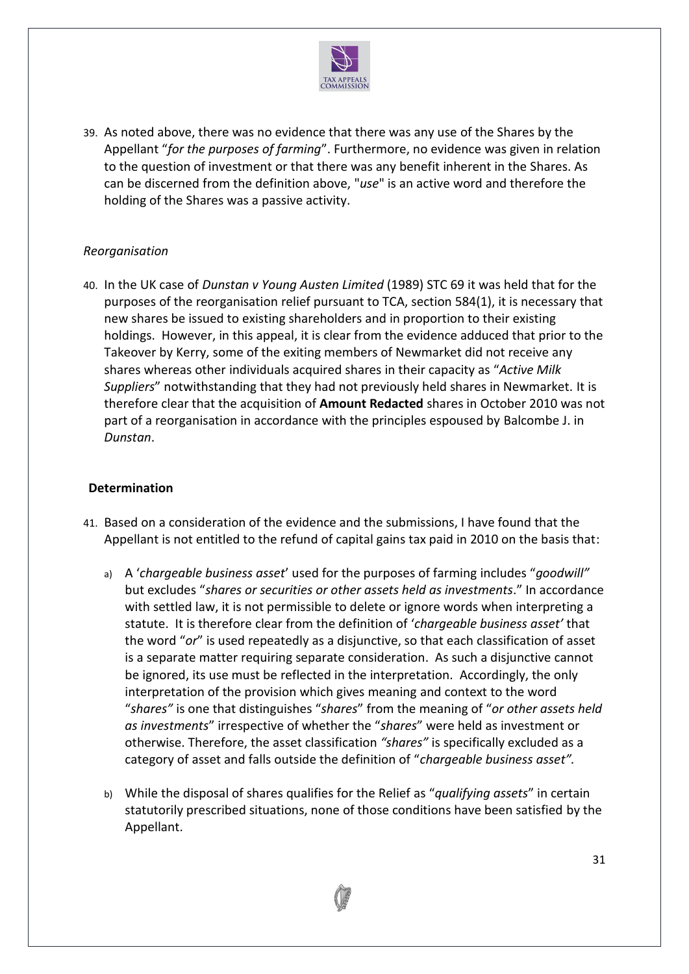

39. As noted above, there was no evidence that there was any use of the Shares by the Appellant "*for the purposes of farming*". Furthermore, no evidence was given in relation to the question of investment or that there was any benefit inherent in the Shares. As can be discerned from the definition above, "*use*" is an active word and therefore the holding of the Shares was a passive activity.

## *Reorganisation*

40. In the UK case of *Dunstan v Young Austen Limited* (1989) STC 69 it was held that for the purposes of the reorganisation relief pursuant to TCA, section 584(1), it is necessary that new shares be issued to existing shareholders and in proportion to their existing holdings. However, in this appeal, it is clear from the evidence adduced that prior to the Takeover by Kerry, some of the exiting members of Newmarket did not receive any shares whereas other individuals acquired shares in their capacity as "*Active Milk Suppliers*" notwithstanding that they had not previously held shares in Newmarket. It is therefore clear that the acquisition of **Amount Redacted** shares in October 2010 was not part of a reorganisation in accordance with the principles espoused by Balcombe J. in *Dunstan*.

## **Determination**

- 41. Based on a consideration of the evidence and the submissions, I have found that the Appellant is not entitled to the refund of capital gains tax paid in 2010 on the basis that:
	- a) A '*chargeable business asset*' used for the purposes of farming includes "*goodwill"*  but excludes "*shares or securities or other assets held as investments*." In accordance with settled law, it is not permissible to delete or ignore words when interpreting a statute. It is therefore clear from the definition of '*chargeable business asset'* that the word "*or*" is used repeatedly as a disjunctive, so that each classification of asset is a separate matter requiring separate consideration. As such a disjunctive cannot be ignored, its use must be reflected in the interpretation. Accordingly, the only interpretation of the provision which gives meaning and context to the word "*shares"* is one that distinguishes "*shares*" from the meaning of "*or other assets held as investments*" irrespective of whether the "*shares*" were held as investment or otherwise. Therefore, the asset classification *"shares"* is specifically excluded as a category of asset and falls outside the definition of "*chargeable business asset".*
	- b) While the disposal of shares qualifies for the Relief as "*qualifying assets*" in certain statutorily prescribed situations, none of those conditions have been satisfied by the Appellant.